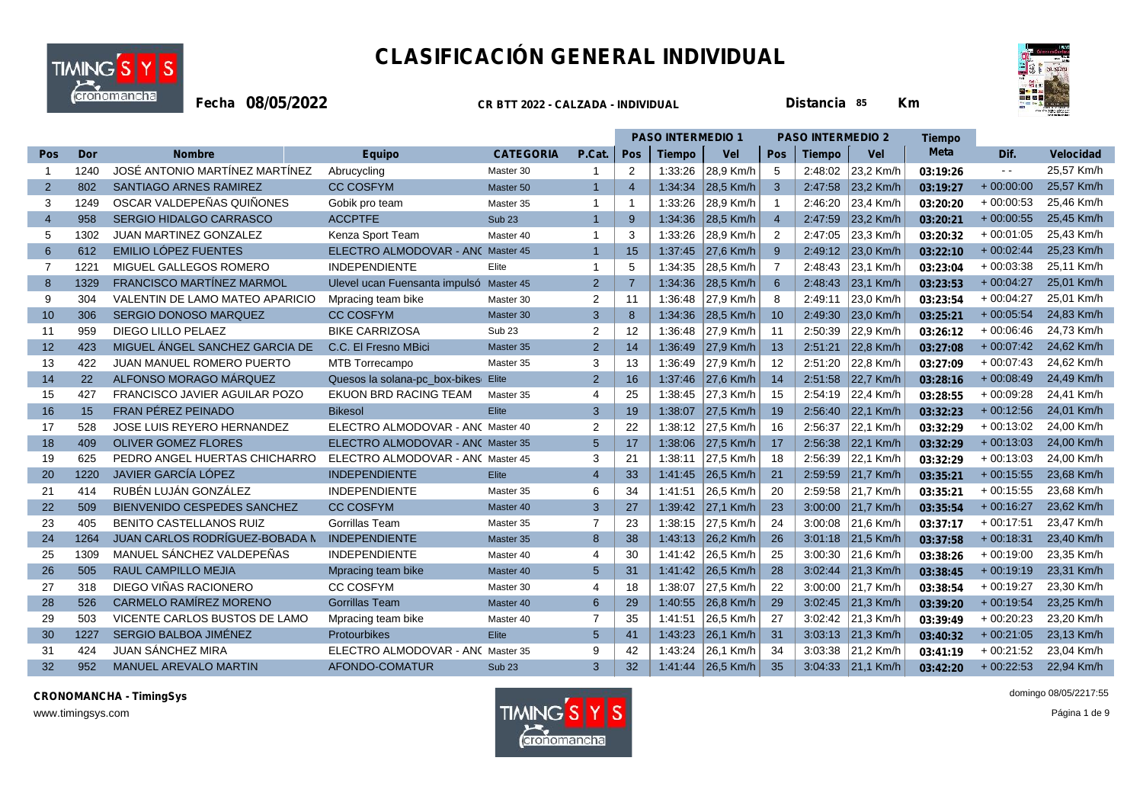

**08/05/2022**

**Fecha** *Km* **CR BTT 2022 - CALZADA - INDIVIDUAL**

*Distancia<sup>85</sup>*

|                 |      |                                      |                                     |                   |                       |                | <b>PASO INTERMEDIO 1</b> |              |                | <b>PASO INTERMEDIO 2</b> |                   | Tiempo      |               |            |
|-----------------|------|--------------------------------------|-------------------------------------|-------------------|-----------------------|----------------|--------------------------|--------------|----------------|--------------------------|-------------------|-------------|---------------|------------|
| <b>Pos</b>      | Dor  | <b>Nombre</b>                        | Equipo                              | <b>CATEGORIA</b>  | P.Cat.                | Pos            | <b>Tiempo</b>            | Vel          | Pos            | <b>Tiempo</b>            | Vel               | <b>Meta</b> | Dif.          | Velocidad  |
| -1              | 1240 | JOSÉ ANTONIO MARTÍNEZ MARTÍNEZ       | Abrucycling                         | Master 30         | -1                    | 2              | 1:33:26                  | 28.9 Km/h    | .5             | 2:48:02                  | 23,2 Km/h         | 03:19:26    | $\sim$ $\sim$ | 25.57 Km/h |
| 2               | 802  | <b>SANTIAGO ARNES RAMIREZ</b>        | <b>CC COSFYM</b>                    | Master 50         |                       | $\overline{4}$ | 1:34:34                  | 28.5 Km/h    | 3              | 2:47:58                  | $23.2$ Km/h       | 03:19:27    | $+00:00:00$   | 25,57 Km/h |
| 3               | 1249 | OSCAR VALDEPEÑAS QUIÑONES            | Gobik pro team                      | Master 35         | 1                     | $\overline{1}$ | 1:33:26                  | 28,9 Km/h    |                | 2:46:20                  | 23,4 Km/h         | 03:20:20    | $+00:00:53$   | 25.46 Km/h |
| $\overline{4}$  | 958  | <b>SERGIO HIDALGO CARRASCO</b>       | <b>ACCPTFE</b>                      | <b>Sub 23</b>     |                       | 9              | 1:34:36                  | 28,5 Km/h    | $\overline{4}$ | 2:47:59                  | $23.2$ Km/h       | 03:20:21    | $+00:00:55$   | 25,45 Km/h |
| 5               | 1302 | <b>JUAN MARTINEZ GONZALEZ</b>        | Kenza Sport Team                    | Master 40         | -1                    | 3              | 1:33:26                  | 28.9 Km/h    | $\overline{2}$ | 2:47:05                  | 23.3 Km/h         | 03:20:32    | $+00:01:05$   | 25,43 Km/h |
| $6\overline{6}$ | 612  | EMILIO LÓPEZ FUENTES                 | ELECTRO ALMODOVAR - ANC Master 45   |                   |                       | 15             | 1:37:45                  | $27.6$ Km/h  | $\mathbf{Q}$   | 2:49:12                  | $23.0$ Km/h       | 03:22:10    | $+00:02:44$   | 25,23 Km/h |
| $\overline{7}$  | 1221 | MIGUEL GALLEGOS ROMERO               | <b>INDEPENDIENTE</b>                | Elite             |                       | 5              | 1:34:35                  | 28.5 Km/h    |                | 2:48:43                  | 23.1 Km/h         | 03:23:04    | $+00:03:38$   | 25,11 Km/h |
| 8               | 1329 | <b>FRANCISCO MARTÍNEZ MARMOL</b>     | Ulevel ucan Fuensanta impulsó       | Master 45         | 2                     | $\overline{7}$ | 1:34:36                  | $28.5$ Km/h  | 6              | 2:48:43                  | $23.1$ Km/h       | 03:23:53    | $+00:04:27$   | 25,01 Km/h |
| 9               | 304  | VALENTIN DE LAMO MATEO APARICIO      | Mpracing team bike                  | Master 30         | 2                     | 11             | 1:36:48                  | 27,9 Km/h    | 8              | 2:49:11                  | 23,0 Km/h         | 03:23:54    | $+00:04:27$   | 25,01 Km/h |
| 10              | 306  | <b>SERGIO DONOSO MARQUEZ</b>         | <b>CC COSFYM</b>                    | Master 30         | $\mathbf{3}$          | 8              | 1:34:36                  | 28,5 Km/h    | 10             | 2:49:30                  | $23.0$ Km/h       | 03:25:21    | $+00:05:54$   | 24,83 Km/h |
| 11              | 959  | DIEGO LILLO PELAEZ                   | <b>BIKE CARRIZOSA</b>               | Sub <sub>23</sub> | 2                     | 12             | 1:36:48                  | 27.9 Km/h    | 11             | 2:50:39                  | 22.9 Km/h         | 03:26:12    | $+00:06:46$   | 24,73 Km/h |
| 12 <sup>2</sup> | 423  | MIGUEL ÁNGEL SANCHEZ GARCIA DE       | C.C. El Fresno MBici                | Master 35         | 2                     | 14             | 1:36:49                  | $ 27.9$ Km/h | 13             | 2:51:21                  | 22,8 Km/h         | 03:27:08    | $+00:07:42$   | 24,62 Km/h |
| 13              | 422  | <b>JUAN MANUEL ROMERO PUERTO</b>     | MTB Torrecampo                      | Master 35         | 3                     | 13             | 1:36:49                  | 27.9 Km/h    | 12             | 2:51:20                  | 22.8 Km/h         | 03:27:09    | $+00:07:43$   | 24,62 Km/h |
| 14              | 22   | ALFONSO MORAGO MÁRQUEZ               | Quesos la solana-pc_box-bikes Elite |                   | $\overline{2}$        | 16             | 1:37:46                  | 27,6 Km/h    | 14             | 2:51:58                  | 22.7 Km/h         | 03:28:16    | $+00:08:49$   | 24,49 Km/h |
| 15              | 427  | <b>FRANCISCO JAVIER AGUILAR POZO</b> | <b>EKUON BRD RACING TEAM</b>        | Master 35         | $\overline{4}$        | 25             | 1:38:45                  | 27,3 Km/h    | 15             | 2:54:19                  | 22.4 Km/h         | 03:28:55    | $+00:09:28$   | 24.41 Km/h |
| 16              | 15   | FRAN PÉREZ PEINADO                   | <b>Bikesol</b>                      | Elite             | 3                     | 19             | 1:38:07                  | $27.5$ Km/h  | 19             | 2:56:40                  | $22.1$ Km/h       | 03:32:23    | $+00:12:56$   | 24,01 Km/h |
| 17              | 528  | JOSE LUIS REYERO HERNANDEZ           | ELECTRO ALMODOVAR - ANC Master 40   |                   | 2                     | 22             | 1:38:12                  | 27,5 Km/h    | 16             | 2:56:37                  | 22.1 Km/h         | 03:32:29    | $+00:13:02$   | 24.00 Km/h |
| 18              | 409  | <b>OLIVER GOMEZ FLORES</b>           | ELECTRO ALMODOVAR - ANC Master 35   |                   | 5                     | 17             | 1:38:06                  | $27.5$ Km/h  | 17             | 2:56:38                  | $22.1$ Km/h       | 03:32:29    | $+00:13:03$   | 24,00 Km/h |
| 19              | 625  | PEDRO ANGEL HUERTAS CHICHARRO        | ELECTRO ALMODOVAR - AN( Master 45   |                   | 3                     | 21             | 1:38:11                  | 27.5 Km/h    | 18             | 2:56:39                  | 22.1 Km/h         | 03:32:29    | $+00:13:03$   | 24,00 Km/h |
| 20              | 1220 | JAVIER GARCÍA LÓPEZ                  | <b>INDEPENDIENTE</b>                | Elite             | $\overline{4}$        | 33             | 1:41:45                  | $26.5$ Km/h  | 21             | 2:59:59                  | $21.7$ Km/h       | 03:35:21    | $+00:15:55$   | 23,68 Km/h |
| 21              | 414  | RUBÉN LUJÁN GONZÁLEZ                 | <b>INDEPENDIENTE</b>                | Master 35         | 6                     | 34             | 1:41:51                  | 26,5 Km/h    | 20             | 2:59:58                  | 21,7 Km/h         | 03:35:21    | $+00:15:55$   | 23,68 Km/h |
| 22              | 509  | BIENVENIDO CESPEDES SANCHEZ          | <b>CC COSFYM</b>                    | Master 40         | $\overline{3}$        | 27             | 1:39:42                  | $27.1$ Km/h  | 23             | 3:00:00                  | $21.7$ Km/h       | 03:35:54    | $+00:16:27$   | 23,62 Km/h |
| 23              | 405  | <b>BENITO CASTELLANOS RUIZ</b>       | <b>Gorrillas Team</b>               | Master 35         | $\overline{7}$        | 23             | 1:38:15                  | 27.5 Km/h    | 24             | 3:00:08                  | 21,6 Km/h         | 03:37:17    | $+00:17:51$   | 23,47 Km/h |
| 24              | 1264 | JUAN CARLOS RODRÍGUEZ-BOBADA N       | <b>INDEPENDIENTE</b>                | Master 35         | 8                     | 38             | 1:43:13                  | 26,2 Km/h    | 26             | 3:01:18                  | $21,5$ Km/h       | 03:37:58    | $+00:18:31$   | 23,40 Km/h |
| 25              | 1309 | MANUEL SÁNCHEZ VALDEPEÑAS            | <b>INDEPENDIENTE</b>                | Master 40         | $\boldsymbol{\Delta}$ | 30             | 1:41:42                  | 26,5 Km/h    | 25             | 3:00:30                  | 21,6 Km/h         | 03:38:26    | $+00:19:00$   | 23,35 Km/h |
| 26              | 505  | <b>RAUL CAMPILLO MEJIA</b>           | Mpracing team bike                  | Master 40         | $5\overline{5}$       | 31             | 1:41:42                  | $26.5$ Km/h  | 28             | 3:02:44                  | $ 21.3$ Km/h      | 03:38:45    | $+00:19:19$   | 23,31 Km/h |
| 27              | 318  | DIEGO VIÑAS RACIONERO                | <b>CC COSFYM</b>                    | Master 30         | $\overline{4}$        | 18             | 1:38:07                  | 27.5 Km/h    | 22             | 3:00:00                  | 21,7 Km/h         | 03:38:54    | $+00:19:27$   | 23,30 Km/h |
| 28              | 526  | <b>CARMELO RAMÍREZ MORENO</b>        | <b>Gorrillas Team</b>               | Master 40         | 6                     | 29             | 1:40:55                  | $26.8$ Km/h  | 29             | 3:02:45                  | $ 21.3$ Km/h      | 03:39:20    | $+00:19:54$   | 23,25 Km/h |
| 29              | 503  | VICENTE CARLOS BUSTOS DE LAMO        | Mpracing team bike                  | Master 40         | $\overline{7}$        | 35             | 1:41:51                  | 26.5 Km/h    | 27             | 3:02:42                  | 21,3 Km/h         | 03:39:49    | $+00:20:23$   | 23,20 Km/h |
| 30              | 1227 | SERGIO BALBOA JIMÉNEZ                | Protourbikes                        | Elite             | 5                     | 41             | 1:43:23                  | 26.1 Km/h    | 31             | 3:03:13                  | $21.3$ Km/h       | 03:40:32    | $+00:21:05$   | 23,13 Km/h |
| 31              | 424  | <b>JUAN SÁNCHEZ MIRA</b>             | ELECTRO ALMODOVAR - ANC Master 35   |                   | 9                     | 42             | 1:43:24                  | 26.1 Km/h    | 34             | 3:03:38                  | 21.2 Km/h         | 03:41:19    | $+00:21:52$   | 23,04 Km/h |
| 32              | 952  | <b>MANUEL AREVALO MARTIN</b>         | AFONDO-COMATUR                      | <b>Sub 23</b>     | 3                     | 32             | 1:41:44                  | $26.5$ Km/h  | 35             |                          | 3:04:33 21,1 Km/h | 03:42:20    | $+00:22:53$   | 22,94 Km/h |

**CRONOMANCHA - TimingSys**

**TIMING'S Y S Conomancia** 

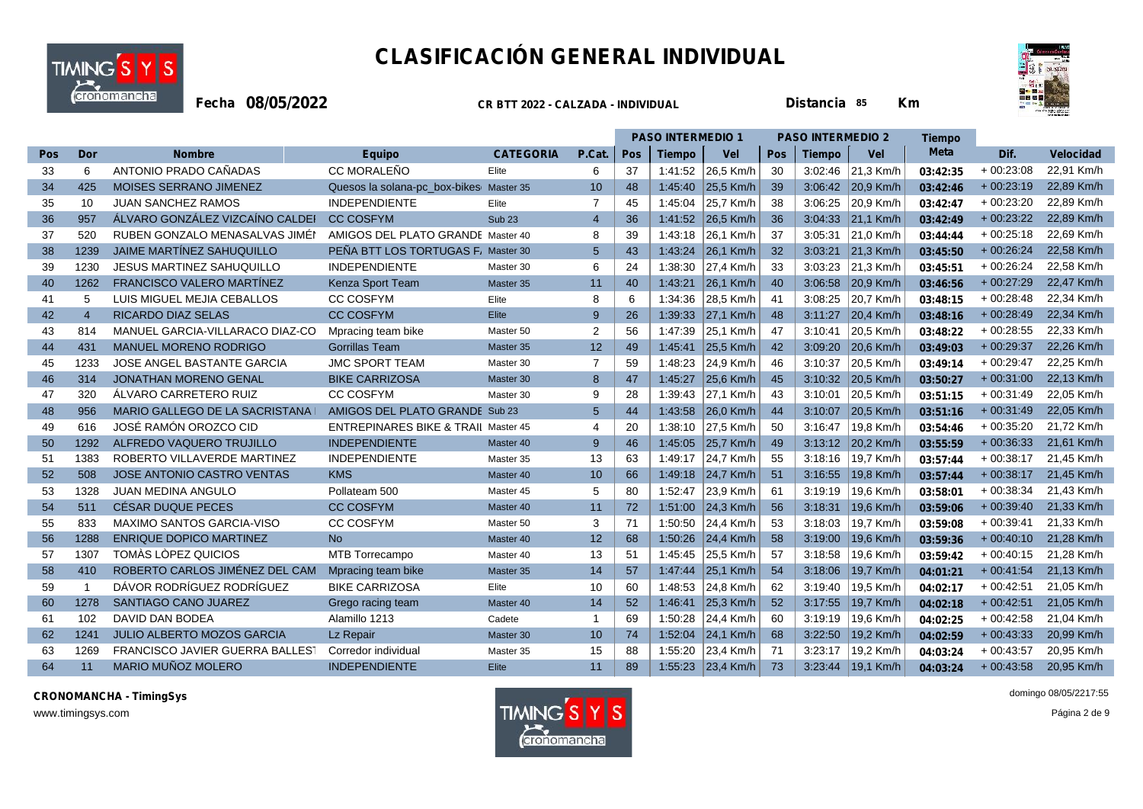

**08/05/2022**

**Fecha** *Km* **CR BTT 2022 - CALZADA - INDIVIDUAL**

*Distancia<sup>85</sup>*

|            |                |                                        |                                                |                   |                |     | <b>PASO INTERMEDIO 1</b> |              |            | <b>PASO INTERMEDIO 2</b> |                            | Tiempo      |             |            |
|------------|----------------|----------------------------------------|------------------------------------------------|-------------------|----------------|-----|--------------------------|--------------|------------|--------------------------|----------------------------|-------------|-------------|------------|
| <b>Pos</b> | Dor            | <b>Nombre</b>                          | <b>Equipo</b>                                  | <b>CATEGORIA</b>  | P.Cat.         | Pos | <b>Tiempo</b>            | Vel          | <b>Pos</b> | <b>Tiempo</b>            | Vel                        | <b>Meta</b> | Dif.        | Velocidad  |
| 33         | 6              | ANTONIO PRADO CAÑADAS                  | <b>CC MORALEÑO</b>                             | Elite             | 6              | 37  | 1:41:52                  | 26.5 Km/h    | 30         | 3:02:46                  | 21,3 Km/h                  | 03:42:35    | $+00:23:08$ | 22,91 Km/h |
| 34         | 425            | MOISES SERRANO JIMENEZ                 | Quesos la solana-pc_box-bikes                  | Master 35         | 10             | 48  | 1:45:40                  | $25.5$ Km/h  | 39         | 3:06:42                  | $\sqrt{20.9 \text{ Km/h}}$ | 03:42:46    | $+00:23:19$ | 22,89 Km/h |
| 35         | 10             | <b>JUAN SANCHEZ RAMOS</b>              | <b>INDEPENDIENTE</b>                           | Elite             | $\overline{7}$ | 45  | 1:45:04                  | 25.7 Km/h    | 38         | 3:06:25                  | 20.9 Km/h                  | 03:42:47    | $+00:23:20$ | 22.89 Km/h |
| 36         | 957            | ÁLVARO GONZÁLEZ VIZCAÍNO CALDEI        | <b>CC COSFYM</b>                               | Sub <sub>23</sub> | $\overline{4}$ | 36  | 1:41:52                  | 26.5 Km/h    | 36         | 3:04:33                  | $21.1$ Km/h                | 03:42:49    | $+00:23:22$ | 22,89 Km/h |
| 37         | 520            | RUBEN GONZALO MENASALVAS JIMÉI         | AMIGOS DEL PLATO GRANDE Master 40              |                   | 8              | 39  | 1:43:18                  | 26.1 Km/h    | 37         | 3:05:31                  | 21.0 Km/h                  | 03:44:44    | $+00:25:18$ | 22,69 Km/h |
| 38         | 1239           | JAIME MARTÍNEZ SAHUQUILLO              | PEÑA BTT LOS TORTUGAS F, Master 30             |                   | 5              | 43  | 1:43:24                  | $26.1$ Km/h  | 32         | 3:03:21                  | $21.3$ Km/h                | 03:45:50    | $+00:26:24$ | 22,58 Km/h |
| 39         | 1230           | <b>JESUS MARTINEZ SAHUQUILLO</b>       | <b>INDEPENDIENTE</b>                           | Master 30         | 6              | 24  | 1:38:30                  | 27.4 Km/h    | 33         | 3:03:23                  | 21,3 Km/h                  | 03:45:51    | $+00:26:24$ | 22,58 Km/h |
| 40         | 1262           | <b>FRANCISCO VALERO MARTÍNEZ</b>       | <b>Kenza Sport Team</b>                        | Master 35         | 11             | 40  | 1:43:21                  | $26.1$ Km/h  | 40         | 3:06:58                  | 20,9 Km/h                  | 03:46:56    | $+00:27:29$ | 22,47 Km/h |
| 41         | 5              | LUIS MIGUEL MEJIA CEBALLOS             | <b>CC COSFYM</b>                               | Elite             | 8              | 6   | 1:34:36                  | 28,5 Km/h    | 41         | 3:08:25                  | 20,7 Km/h                  | 03:48:15    | $+00:28:48$ | 22,34 Km/h |
| 42         | $\overline{4}$ | <b>RICARDO DIAZ SELAS</b>              | <b>CC COSFYM</b>                               | Elite             | 9              | 26  | 1:39:33                  | 27,1 Km/h    | 48         | 3:11:27                  | $20.4$ Km/h                | 03:48:16    | $+00:28:49$ | 22,34 Km/h |
| 43         | 814            | MANUEL GARCIA-VILLARACO DIAZ-CO        | Mpracing team bike                             | Master 50         | $\overline{2}$ | 56  | 1:47:39                  | 25.1 Km/h    | 47         | 3:10:41                  | 20.5 Km/h                  | 03:48:22    | $+00:28:55$ | 22,33 Km/h |
| 44         | 431            | <b>MANUEL MORENO RODRIGO</b>           | <b>Gorrillas Team</b>                          | Master 35         | 12             | 49  | 1:45:41                  | $25.5$ Km/h  | 42         | 3:09:20                  | $20.6$ Km/h                | 03:49:03    | $+00:29:37$ | 22,26 Km/h |
| 45         | 1233           | JOSE ANGEL BASTANTE GARCIA             | <b>JMC SPORT TEAM</b>                          | Master 30         | $\overline{7}$ | 59  | 1:48:23                  | 24.9 Km/h    | 46         | 3:10:37                  | 20.5 Km/h                  | 03:49:14    | $+00:29:47$ | 22,25 Km/h |
| 46         | 314            | <b>JONATHAN MORENO GENAL</b>           | <b>BIKE CARRIZOSA</b>                          | Master 30         | 8              | 47  | 1:45:27                  | 25,6 Km/h    | 45         | 3:10:32                  | 20,5 Km/h                  | 03:50:27    | $+00:31:00$ | 22,13 Km/h |
| 47         | 320            | ÁLVARO CARRETERO RUIZ                  | <b>CC COSFYM</b>                               | Master 30         | 9              | 28  | 1:39:43                  | 27.1 Km/h    | 43         | 3:10:01                  | 20,5 Km/h                  | 03:51:15    | $+00:31:49$ | 22,05 Km/h |
| 48         | 956            | MARIO GALLEGO DE LA SACRISTANA         | AMIGOS DEL PLATO GRANDE Sub 23                 |                   | 5              | 44  | 1:43:58                  | $26.0$ Km/h  | 44         | 3:10:07                  | 20,5 Km/h                  | 03:51:16    | $+00:31:49$ | 22,05 Km/h |
| 49         | 616            | JOSÉ RAMÓN OROZCO CID                  | <b>ENTREPINARES BIKE &amp; TRAIL Master 45</b> |                   | $\overline{4}$ | 20  | 1:38:10                  | 27.5 Km/h    | 50         | 3:16:47                  | 19,8 Km/h                  | 03:54:46    | $+00:35:20$ | 21.72 Km/h |
| 50         | 1292           | ALFREDO VAQUERO TRUJILLO               | <b>INDEPENDIENTE</b>                           | Master 40         | 9              | 46  | 1:45:05                  | $25.7$ Km/h  | 49         | 3:13:12                  | $20.2$ Km/h                | 03:55:59    | $+00:36:33$ | 21,61 Km/h |
| 51         | 1383           | ROBERTO VILLAVERDE MARTINEZ            | <b>INDEPENDIENTE</b>                           | Master 35         | 13             | 63  | 1:49:17                  | 24.7 Km/h    | 55         | 3:18:16                  | 19.7 Km/h                  | 03:57:44    | $+00:38:17$ | 21,45 Km/h |
| 52         | 508            | <b>JOSE ANTONIO CASTRO VENTAS</b>      | <b>KMS</b>                                     | Master 40         | 10             | 66  | 1:49:18                  | $24.7$ Km/h  | 51         | 3:16:55                  | 19,8 Km/h                  | 03:57:44    | $+00:38:17$ | 21,45 Km/h |
| 53         | 1328           | <b>JUAN MEDINA ANGULO</b>              | Pollateam 500                                  | Master 45         | 5              | 80  | 1:52:47                  | 23,9 Km/h    | 61         | 3:19:19                  | 19.6 Km/h                  | 03:58:01    | $+00:38:34$ | 21,43 Km/h |
| 54         | 511            | CÉSAR DUQUE PECES                      | <b>CC COSFYM</b>                               | Master 40         | 11             | 72  | 1:51:00                  | $24.3$ Km/h  | 56         | 3:18:31                  | 19,6 Km/h                  | 03:59:06    | $+00:39:40$ | 21,33 Km/h |
| 55         | 833            | MAXIMO SANTOS GARCIA-VISO              | <b>CC COSFYM</b>                               | Master 50         | 3              | 71  | 1:50:50                  | 24,4 Km/h    | 53         | 3:18:03                  | 19,7 Km/h                  | 03:59:08    | $+00:39:41$ | 21,33 Km/h |
| 56         | 1288           | <b>ENRIQUE DOPICO MARTINEZ</b>         | <b>No</b>                                      | Master 40         | 12             | 68  | 1:50:26                  | 24,4 Km/h    | 58         | 3:19:00                  | 19,6 Km/h                  | 03:59:36    | $+00:40:10$ | 21,28 Km/h |
| 57         | 1307           | TOMÀS LÒPEZ QUICIOS                    | MTB Torrecampo                                 | Master 40         | 13             | 51  | 1:45:45                  | 25,5 Km/h    | 57         | 3:18:58                  | 19,6 Km/h                  | 03:59:42    | $+00:40:15$ | 21,28 Km/h |
| 58         | 410            | ROBERTO CARLOS JIMÉNEZ DEL CAM         | Mpracing team bike                             | Master 35         | 14             | 57  | 1:47:44                  | $25.1$ Km/h  | 54         | 3:18:06                  | 19,7 Km/h                  | 04:01:21    | $+00:41:54$ | 21,13 Km/h |
| 59         | $\overline{1}$ | DÁVOR RODRÍGUEZ RODRÍGUEZ              | <b>BIKE CARRIZOSA</b>                          | Elite             | 10             | 60  | 1:48:53                  | 24.8 Km/h    | 62         | 3:19:40                  | 19.5 Km/h                  | 04:02:17    | $+00:42:51$ | 21,05 Km/h |
| 60         | 1278           | SANTIAGO CANO JUAREZ                   | Grego racing team                              | Master 40         | 14             | 52  | 1:46:41                  | $25.3$ Km/h  | 52         | 3:17:55                  | 19,7 Km/h                  | 04:02:18    | $+00:42:51$ | 21,05 Km/h |
| 61         | 102            | DAVID DAN BODEA                        | Alamillo 1213                                  | Cadete            | -1             | 69  | 1:50:28                  | 24,4 Km/h    | 60         | 3:19:19                  | 19.6 Km/h                  | 04:02:25    | $+00:42:58$ | 21.04 Km/h |
| 62         | 1241           | <b>JULIO ALBERTO MOZOS GARCIA</b>      | Lz Repair                                      | Master 30         | 10             | 74  | 1:52:04                  | $24.1$ Km/h  | 68         | 3:22:50                  | 19.2 Km/h                  | 04:02:59    | $+00:43:33$ | 20,99 Km/h |
| 63         | 1269           | <b>FRANCISCO JAVIER GUERRA BALLEST</b> | Corredor individual                            | Master 35         | 15             | 88  | 1:55:20                  | 23.4 Km/h    | 71         | 3:23:17                  | 19.2 Km/h                  | 04:03:24    | $+00:43:57$ | 20,95 Km/h |
| 64         | 11             | MARIO MUÑOZ MOLERO                     | <b>INDEPENDIENTE</b>                           | Elite             | 11             | 89  | 1:55:23                  | $ 23.4$ Km/h | 73         | 3:23:44                  | 19.1 Km/h                  | 04:03:24    | $+00:43:58$ | 20,95 Km/h |

**CRONOMANCHA - TimingSys**

**TIMING'S Y S Conomancia** 

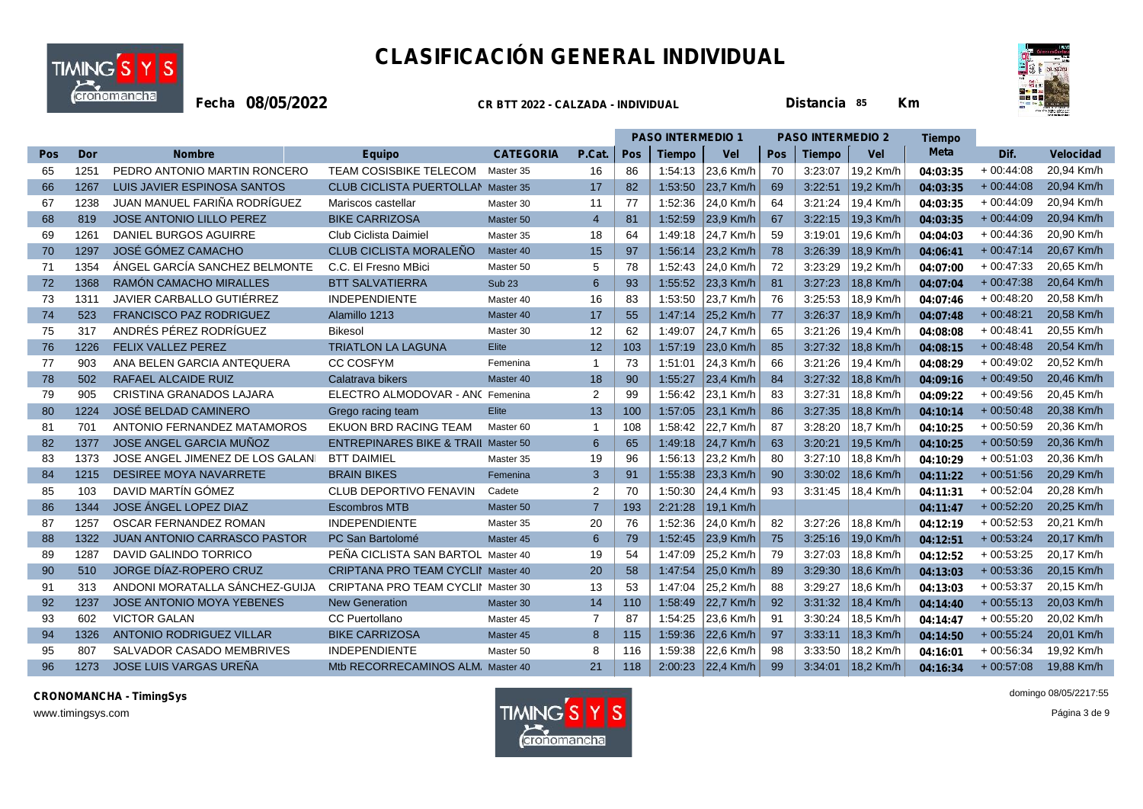

**08/05/2022**

**Fecha** *Km* **CR BTT 2022 - CALZADA - INDIVIDUAL**

*Distancia<sup>85</sup>*

|            |      |                                     |                                                |                   |                         |     | <b>PASO INTERMEDIO 1</b> |              |            | <b>PASO INTERMEDIO 2</b> |           | Tiempo      |             |                  |
|------------|------|-------------------------------------|------------------------------------------------|-------------------|-------------------------|-----|--------------------------|--------------|------------|--------------------------|-----------|-------------|-------------|------------------|
| <b>Pos</b> | Dor  | <b>Nombre</b>                       | <b>Equipo</b>                                  | <b>CATEGORIA</b>  | P.Cat.                  | Pos | <b>Tiempo</b>            | Vel          | <b>Pos</b> | <b>Tiempo</b>            | Vel       | <b>Meta</b> | Dif.        | <b>Velocidad</b> |
| 65         | 1251 | PEDRO ANTONIO MARTIN RONCERO        | <b>TEAM COSISBIKE TELECOM</b>                  | Master 35         | 16                      | 86  | 1:54:13                  | 23,6 Km/h    | 70         | 3:23:07                  | 19,2 Km/h | 04:03:35    | $+00:44:08$ | 20.94 Km/h       |
| 66         | 1267 | <b>LUIS JAVIER ESPINOSA SANTOS</b>  | <b>CLUB CICLISTA PUERTOLLAN</b>                | Master 35         | 17                      | 82  | 1:53:50                  | 23.7 Km/h    | 69         | 3:22:51                  | 19.2 Km/h | 04:03:35    | $+00:44:08$ | 20.94 Km/h       |
| 67         | 1238 | JUAN MANUEL FARIÑA RODRÍGUEZ        | Mariscos castellar                             | Master 30         | 11                      | 77  | 1:52:36                  | 24.0 Km/h    | 64         | 3:21:24                  | 19.4 Km/h | 04:03:35    | $+00:44:09$ | 20.94 Km/h       |
| 68         | 819  | <b>JOSE ANTONIO LILLO PEREZ</b>     | <b>BIKE CARRIZOSA</b>                          | Master 50         | $\overline{4}$          | 81  | 1:52:59                  | 23.9 Km/h    | 67         | 3:22:15                  | 19.3 Km/h | 04:03:35    | $+00:44:09$ | 20,94 Km/h       |
| 69         | 1261 | DANIEL BURGOS AGUIRRE               | Club Ciclista Daimiel                          | Master 35         | 18                      | 64  | 1:49:18                  | 24.7 Km/h    | 59         | 3:19:01                  | 19.6 Km/h | 04:04:03    | $+00:44:36$ | 20.90 Km/h       |
| 70         | 1297 | JOSÉ GÓMEZ CAMACHO                  | CLUB CICLISTA MORALEÑO                         | Master 40         | 15                      | 97  | 1:56:14                  | $23.2$ Km/h  | 78         | 3:26:39                  | 18,9 Km/h | 04:06:41    | $+00:47:14$ | 20,67 Km/h       |
| 71         | 1354 | ÁNGEL GARCÍA SANCHEZ BELMONTE       | C.C. El Fresno MBici                           | Master 50         | 5                       | 78  | 1:52:43                  | 24.0 Km/h    | 72         | 3:23:29                  | 19.2 Km/h | 04:07:00    | $+00.47:33$ | 20,65 Km/h       |
| 72         | 1368 | RAMÓN CAMACHO MIRALLES              | <b>BTT SALVATIERRA</b>                         | Sub <sub>23</sub> | 6                       | 93  | 1:55:52                  | $23.3$ Km/h  | 81         | 3:27:23                  | 18,8 Km/h | 04:07:04    | $+00.47:38$ | 20,64 Km/h       |
| 73         | 1311 | JAVIER CARBALLO GUTIÉRREZ           | <b>INDEPENDIENTE</b>                           | Master 40         | 16                      | 83  | 1:53:50                  | 23,7 Km/h    | 76         | 3:25:53                  | 18,9 Km/h | 04:07:46    | $+00:48:20$ | 20,58 Km/h       |
| 74         | 523  | <b>FRANCISCO PAZ RODRIGUEZ</b>      | Alamillo 1213                                  | Master 40         | 17                      | 55  | 1:47:14                  | 25.2 Km/h    | 77         | 3:26:37                  | 18.9 Km/h | 04:07:48    | $+00:48:21$ | 20,58 Km/h       |
| 75         | 317  | ANDRÉS PÉREZ RODRÍGUEZ              | <b>Bikesol</b>                                 | Master 30         | 12                      | 62  | 1:49:07                  | 24.7 Km/h    | 65         | 3:21:26                  | 19.4 Km/h | 04:08:08    | $+00:48:41$ | 20,55 Km/h       |
| 76         | 1226 | <b>FELIX VALLEZ PEREZ</b>           | <b>TRIATLON LA LAGUNA</b>                      | Elite             | 12                      | 103 | 1:57:19                  | 23,0 Km/h    | 85         | 3:27:32                  | 18,8 Km/h | 04:08:15    | $+00:48:48$ | 20,54 Km/h       |
| 77         | 903  | ANA BELEN GARCIA ANTEQUERA          | <b>CC COSFYM</b>                               | Femenina          | $\overline{\mathbf{1}}$ | 73  | 1:51:01                  | 24,3 Km/h    | 66         | 3:21:26                  | 19,4 Km/h | 04:08:29    | $+00:49:02$ | 20,52 Km/h       |
| 78         | 502  | RAFAEL ALCAIDE RUIZ                 | Calatrava bikers                               | Master 40         | 18                      | 90  | 1:55:27                  | 23,4 Km/h    | 84         | 3:27:32                  | 18,8 Km/h | 04:09:16    | $+00:49:50$ | 20,46 Km/h       |
| 79         | 905  | CRISTINA GRANADOS LAJARA            | ELECTRO ALMODOVAR - ANC Femenina               |                   | $\overline{2}$          | 99  | 1:56:42                  | 23,1 Km/h    | 83         | 3:27:31                  | 18,8 Km/h | 04:09:22    | $+00:49:56$ | 20,45 Km/h       |
| 80         | 1224 | JOSÉ BELDAD CAMINERO                | Grego racing team                              | Elite             | 13                      | 100 | 1:57:05                  | 23,1 Km/h    | 86         | 3:27:35                  | 18,8 Km/h | 04:10:14    | $+00:50:48$ | 20,38 Km/h       |
| 81         | 701  | ANTONIO FERNANDEZ MATAMOROS         | <b>EKUON BRD RACING TEAM</b>                   | Master 60         | -1                      | 108 | 1:58:42                  | 22,7 Km/h    | 87         | 3:28:20                  | 18.7 Km/h | 04:10:25    | $+00:50:59$ | 20,36 Km/h       |
| 82         | 1377 | JOSE ANGEL GARCIA MUÑOZ             | <b>ENTREPINARES BIKE &amp; TRAIL Master 50</b> |                   | 6                       | 65  | 1:49:18                  | $24.7$ Km/h  | 63         | 3:20:21                  | 19,5 Km/h | 04:10:25    | $+00:50:59$ | 20,36 Km/h       |
| 83         | 1373 | JOSE ANGEL JIMENEZ DE LOS GALAN     | <b>BTT DAIMIEL</b>                             | Master 35         | 19                      | 96  | 1:56:13                  | 23,2 Km/h    | 80         | 3:27:10                  | 18,8 Km/h | 04:10:29    | $+00:51:03$ | 20,36 Km/h       |
| 84         | 1215 | DESIREE MOYA NAVARRETE              | <b>BRAIN BIKES</b>                             | Femenina          | 3                       | 91  | 1:55:38                  | 23,3 Km/h    | 90         | 3:30:02                  | 18.6 Km/h | 04:11:22    | $+00:51:56$ | 20,29 Km/h       |
| 85         | 103  | DAVID MARTÍN GÓMEZ                  | <b>CLUB DEPORTIVO FENAVIN</b>                  | Cadete            | $\mathcal{P}$           | 70  | 1:50:30                  | 24.4 Km/h    | 93         | 3:31:45                  | 18,4 Km/h | 04:11:31    | $+00:52:04$ | 20.28 Km/h       |
| 86         | 1344 | JOSE ÁNGEL LOPEZ DIAZ               | <b>Escombros MTB</b>                           | Master 50         | $\overline{7}$          | 193 | 2:21:28                  | 19,1 Km/h    |            |                          |           | 04:11:47    | $+00:52:20$ | 20,25 Km/h       |
| 87         | 1257 | OSCAR FERNANDEZ ROMAN               | <b>INDEPENDIENTE</b>                           | Master 35         | 20                      | 76  | 1:52:36                  | 24.0 Km/h    | 82         | 3:27:26                  | 18.8 Km/h | 04:12:19    | $+00:52:53$ | 20.21 Km/h       |
| 88         | 1322 | <b>JUAN ANTONIO CARRASCO PASTOR</b> | PC San Bartolomé                               | Master 45         | 6                       | 79  | 1:52:45                  | 23,9 Km/h    | 75         | 3:25:16                  | 19,0 Km/h | 04:12:51    | $+00:53:24$ | 20,17 Km/h       |
| 89         | 1287 | <b>DAVID GALINDO TORRICO</b>        | PEÑA CICLISTA SAN BARTOL Master 40             |                   | 19                      | 54  | 1:47:09                  | 25,2 Km/h    | 79         | 3:27:03                  | 18.8 Km/h | 04:12:52    | $+00:53:25$ | 20.17 Km/h       |
| 90         | 510  | JORGE DÍAZ-ROPERO CRUZ              | CRIPTANA PRO TEAM CYCLII Master 40             |                   | 20                      | 58  | 1:47:54                  | 25.0 Km/h    | 89         | 3:29:30                  | 18.6 Km/h | 04:13:03    | $+00:53:36$ | 20,15 Km/h       |
| 91         | 313  | ANDONI MORATALLA SÁNCHEZ-GUIJA      | CRIPTANA PRO TEAM CYCLII Master 30             |                   | 13                      | 53  | 1:47:04                  | 25.2 Km/h    | 88         | 3:29:27                  | 18.6 Km/h | 04:13:03    | $+00:53:37$ | 20.15 Km/h       |
| 92         | 1237 | <b>JOSE ANTONIO MOYA YEBENES</b>    | <b>New Generation</b>                          | Master 30         | 14                      | 110 | 1:58:49                  | 22.7 Km/h    | 92         | 3:31:32                  | 18.4 Km/h | 04:14:40    | $+00:55:13$ | 20,03 Km/h       |
| 93         | 602  | <b>VICTOR GALAN</b>                 | <b>CC Puertollano</b>                          | Master 45         | $\overline{7}$          | 87  | 1:54:25                  | 23.6 Km/h    | 91         | 3:30:24                  | 18.5 Km/h | 04:14:47    | $+00:55:20$ | 20,02 Km/h       |
| 94         | 1326 | <b>ANTONIO RODRIGUEZ VILLAR</b>     | <b>BIKE CARRIZOSA</b>                          | Master 45         | 8                       | 115 | 1:59:36                  | 22.6 Km/h    | 97         | 3:33:11                  | 18,3 Km/h | 04:14:50    | $+00:55:24$ | 20,01 Km/h       |
| 95         | 807  | SALVADOR CASADO MEMBRIVES           | <b>INDEPENDIENTE</b>                           | Master 50         | -8                      | 116 | 1:59:38                  | 22,6 Km/h    | 98         | 3:33:50                  | 18,2 Km/h | 04:16:01    | $+00:56:34$ | 19,92 Km/h       |
| 96         | 1273 | <b>JOSE LUIS VARGAS UREÑA</b>       | Mtb RECORRECAMINOS ALM. Master 40              |                   | 21                      | 118 | 2:00:23                  | $ 22.4$ Km/h | 99         | 3:34:01                  | 18,2 Km/h | 04:16:34    | $+00.57.08$ | 19,88 Km/h       |

**CRONOMANCHA - TimingSys**

**TIMING'S Y S Conformancina** 

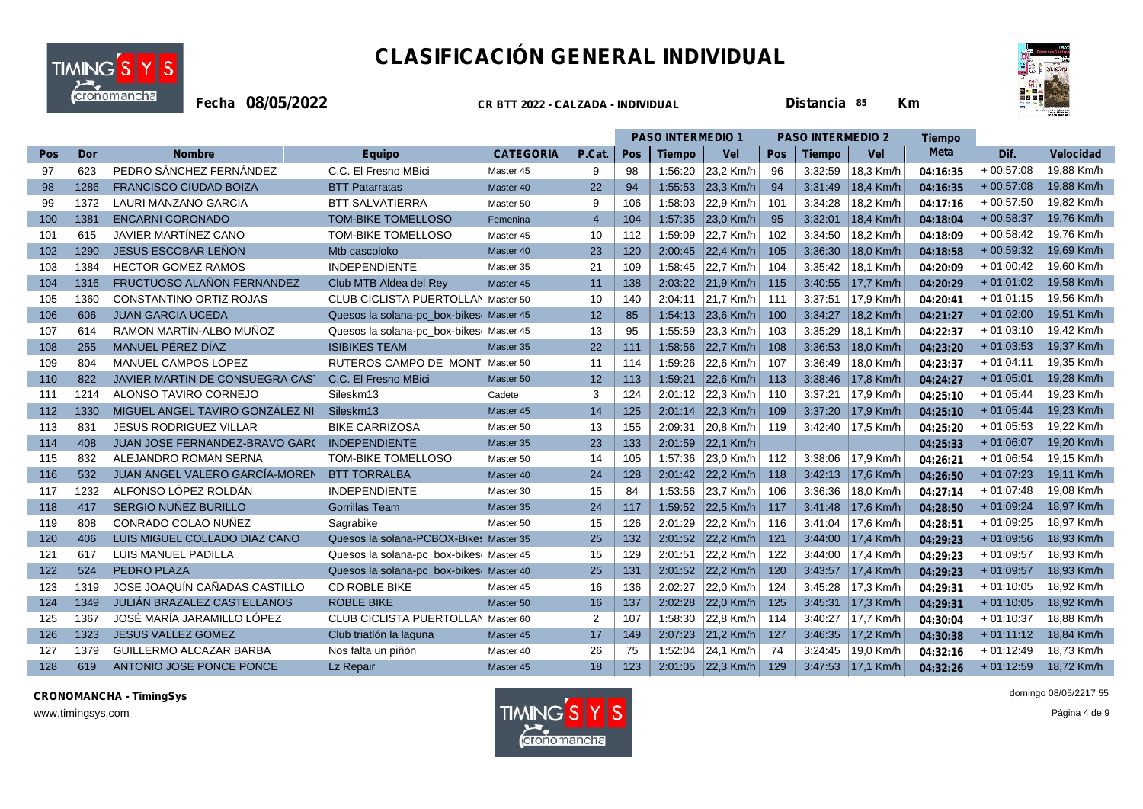



**08/05/2022**

**Fecha** *Km* **CR BTT 2022 - CALZADA - INDIVIDUAL**

*Distancia<sup>85</sup>*

|     |      |                                 |                                         |                      |                       |     | <b>PASO INTERMEDIO 1</b> |                     |     | <b>PASO INTERMEDIO 2</b> |           | Tiempo      |             |            |
|-----|------|---------------------------------|-----------------------------------------|----------------------|-----------------------|-----|--------------------------|---------------------|-----|--------------------------|-----------|-------------|-------------|------------|
| Pos | Dor  | <b>Nombre</b>                   | Equipo                                  | <b>CATEGORIA</b>     | P.Cat.                | Pos | <b>Tiempo</b>            | Vel                 | Pos | <b>Tiempo</b>            | Vel       | <b>Meta</b> | Dif.        | Velocidad  |
| 97  | 623  | PEDRO SÁNCHEZ FERNÁNDEZ         | C.C. El Fresno MBici                    | Master 45            | 9                     | 98  | 1:56:20                  | 23.2 Km/h           | 96  | 3:32:59                  | 18.3 Km/h | 04:16:35    | $+00:57:08$ | 19,88 Km/h |
| 98  | 1286 | <b>FRANCISCO CIUDAD BOIZA</b>   | <b>BTT Patarratas</b>                   | Master 40            | 22                    | 94  | 1:55:53                  | $23.3$ Km/h         | 94  | 3:31:49                  | 18,4 Km/h | 04:16:35    | $+00:57:08$ | 19,88 Km/h |
| 99  | 1372 | <b>LAURI MANZANO GARCIA</b>     | <b>BTT SALVATIERRA</b>                  | Master 50            | 9                     | 106 | 1:58:03                  | 22,9 Km/h           | 101 | 3:34:28                  | 18,2 Km/h | 04:17:16    | $+00:57:50$ | 19,82 Km/h |
| 100 | 1381 | <b>ENCARNI CORONADO</b>         | TOM-BIKE TOMELLOSO                      | Femenina             | $\boldsymbol{\Delta}$ | 104 | 1:57:35                  | 23,0 Km/h           | 95  | 3:32:01                  | 18,4 Km/h | 04:18:04    | $+00:58:37$ | 19,76 Km/h |
| 101 | 615  | JAVIER MARTÍNEZ CANO            | <b>TOM-BIKE TOMELLOSO</b>               | Master 45            | 10                    | 112 | 1:59:09                  | 22,7 Km/h           | 102 | 3:34:50                  | 18,2 Km/h | 04:18:09    | $+00:58:42$ | 19.76 Km/h |
| 102 | 1290 | <b>JESUS ESCOBAR LEÑON</b>      | Mtb cascoloko                           | Master 40            | 23                    | 120 | 2:00:45                  | 22,4 Km/h           | 105 | 3:36:30                  | 18,0 Km/h | 04:18:58    | $+00:59:32$ | 19,69 Km/h |
| 103 | 1384 | <b>HECTOR GOMEZ RAMOS</b>       | <b>INDEPENDIENTE</b>                    | Master 35            | 21                    | 109 | 1:58:45                  | 22,7 Km/h           | 104 | 3:35:42                  | 18.1 Km/h | 04:20:09    | $+01:00:42$ | 19,60 Km/h |
| 104 | 1316 | FRUCTUOSO ALAÑON FERNANDEZ      | Club MTB Aldea del Rev                  | Master 45            | 11                    | 138 | 2:03:22                  | $21.9$ Km/h         | 115 | 3:40:55                  | 17,7 Km/h | 04:20:29    | $+01:01:02$ | 19,58 Km/h |
| 105 | 1360 | CONSTANTINO ORTIZ ROJAS         | CLUB CICLISTA PUERTOLLAM Master 50      |                      | 10                    | 140 | 2:04:11                  | 21,7 Km/h           | 111 | 3:37:51                  | 17.9 Km/h | 04:20:41    | $+01:01:15$ | 19,56 Km/h |
| 106 | 606  | <b>JUAN GARCIA UCEDA</b>        | Quesos la solana-pc box-bikes Master 45 |                      | 12                    | 85  | 1:54:13                  | $23.6$ Km/h         | 100 | 3:34:27                  | 18,2 Km/h | 04:21:27    | $+01:02:00$ | 19,51 Km/h |
| 107 | 614  | RAMON MARTÍN-ALBO MUÑOZ         | Quesos la solana-pc box-bikes Master 45 |                      | 13                    | 95  | 1:55:59                  | 23,3 Km/h           | 103 | 3:35:29                  | 18.1 Km/h | 04:22:37    | $+01:03:10$ | 19,42 Km/h |
| 108 | 255  | MANUEL PÉREZ DÍAZ               | <b>ISIBIKES TEAM</b>                    | Master 35            | 22                    | 111 | 1:58:56                  | 22,7 Km/h           | 108 | 3:36:53                  | 18,0 Km/h | 04:23:20    | $+01:03:53$ | 19,37 Km/h |
| 109 | 804  | MANUEL CAMPOS LÓPEZ             | RUTEROS CAMPO DE MONT                   | Master 50            | 11                    | 114 | 1:59:26                  | 22,6 Km/h           | 107 | 3:36:49                  | 18.0 Km/h | 04:23:37    | $+01:04:11$ | 19,35 Km/h |
| 110 | 822  | JAVIER MARTIN DE CONSUEGRA CAS' | C.C. El Fresno MBici                    | Master 50            | 12                    | 113 | 1:59:21                  | 22,6 Km/h           | 113 | 3:38:46                  | 17,8 Km/h | 04:24:27    | $+01:05:01$ | 19,28 Km/h |
| 111 | 1214 | ALONSO TAVIRO CORNEJO           | Sileskm13                               | Cadete               | 3                     | 124 | 2:01:12                  | 22,3 Km/h           | 110 | 3:37:21                  | 17,9 Km/h | 04:25:10    | $+01:05:44$ | 19,23 Km/h |
| 112 | 1330 | MIGUEL ANGEL TAVIRO GONZÁLEZ NI | Sileskm13                               | Master <sub>45</sub> | 14                    | 125 | 2:01:14                  | $22.3$ Km/h         | 109 | 3:37:20                  | 17,9 Km/h | 04:25:10    | $+01:05:44$ | 19,23 Km/h |
| 113 | 831  | <b>JESUS RODRIGUEZ VILLAR</b>   | <b>BIKE CARRIZOSA</b>                   | Master 50            | 13                    | 155 | 2:09:31                  | 20.8 Km/h           | 119 | 3:42:40                  | 17.5 Km/h | 04:25:20    | $+01:05:53$ | 19,22 Km/h |
| 114 | 408  | JUAN JOSE FERNANDEZ-BRAVO GARO  | <b>INDEPENDIENTE</b>                    | Master 35            | 23                    | 133 | 2:01:59                  | $22.1$ Km/h         |     |                          |           | 04:25:33    | $+01:06:07$ | 19,20 Km/h |
| 115 | 832  | ALEJANDRO ROMAN SERNA           | <b>TOM-BIKE TOMELLOSO</b>               | Master 50            | 14                    | 105 | 1:57:36                  | $23.0$ Km/h $\vert$ | 112 | 3:38:06                  | 17.9 Km/h | 04:26:21    | $+01:06:54$ | 19.15 Km/h |
| 116 | 532  | JUAN ANGEL VALERO GARCIA-MOREN  | <b>BTT TORRALBA</b>                     | Master 40            | 24                    | 128 | 2:01:42                  | $ 22.2$ Km/h        | 118 | 3:42:13                  | 17.6 Km/h | 04:26:50    | $+01:07:23$ | 19,11 Km/h |
| 117 | 1232 | ALFONSO LÓPEZ ROLDÁN            | <b>INDEPENDIENTE</b>                    | Master 30            | 15                    | 84  | 1:53:56                  | 23.7 Km/h           | 106 | 3:36:36                  | 18.0 Km/h | 04:27:14    | $+01:07:48$ | 19.08 Km/h |
| 118 | 417  | SERGIO NUÑEZ BURILLO            | <b>Gorrillas Team</b>                   | Master 35            | 24                    | 117 | 1:59:52                  | $22.5$ Km/h         | 117 | 3:41:48                  | 17.6 Km/h | 04:28:50    | $+01:09:24$ | 18,97 Km/h |
| 119 | 808  | CONRADO COLAO NUÑEZ             | Sagrabike                               | Master 50            | 15                    | 126 | 2:01:29                  | 22.2 Km/h           | 116 | 3:41:04                  | 17.6 Km/h | 04:28:51    | $+01:09:25$ | 18,97 Km/h |
| 120 | 406  | LUIS MIGUEL COLLADO DIAZ CANO   | Quesos la solana-PCBOX-Bike: Master 35  |                      | 25                    | 132 | 2:01:52                  | 22,2 Km/h           | 121 | 3:44:00                  | 17,4 Km/h | 04:29:23    | $+01:09:56$ | 18,93 Km/h |
| 121 | 617  | LUIS MANUEL PADILLA             | Quesos la solana-pc box-bikes Master 45 |                      | 15                    | 129 | 2:01:51                  | 22.2 Km/h           | 122 | 3:44:00                  | 17.4 Km/h | 04:29:23    | $+01:09:57$ | 18,93 Km/h |
| 122 | 524  | PEDRO PLAZA                     | Quesos la solana-pc_box-bikes Master 40 |                      | 25                    | 131 | 2:01:52                  | 22,2 Km/h           | 120 | 3:43:57                  | 17,4 Km/h | 04:29:23    | $+01:09:57$ | 18,93 Km/h |
| 123 | 1319 | JOSE JOAQUÍN CAÑADAS CASTILLO   | CD ROBLE BIKE                           | Master 45            | 16                    | 136 | 2:02:27                  | 22.0 Km/h           | 124 | 3:45:28                  | 17.3 Km/h | 04:29:31    | $+01:10:05$ | 18.92 Km/h |
| 124 | 1349 | JULIÁN BRAZALEZ CASTELLANOS     | <b>ROBLE BIKE</b>                       | Master 50            | 16                    | 137 | 2:02:28                  | 22.0 Km/h           | 125 | 3:45:31                  | 17,3 Km/h | 04:29:31    | $+01:10:05$ | 18,92 Km/h |
| 125 | 1367 | JOSÉ MARÍA JARAMILLO LÓPEZ      | CLUB CICLISTA PUERTOLLAM Master 60      |                      | 2                     | 107 | 1:58:30                  | 22,8 Km/h           | 114 | 3:40:27                  | 17.7 Km/h | 04:30:04    | $+01:10:37$ | 18.88 Km/h |
| 126 | 1323 | <b>JESUS VALLEZ GOMEZ</b>       | Club triatión la laguna                 | Master <sub>45</sub> | 17                    | 149 | 2:07:23                  | $21.2$ Km/h         | 127 | 3:46:35                  | 17.2 Km/h | 04:30:38    | $+01:11:12$ | 18,84 Km/h |
| 127 | 1379 | <b>GUILLERMO ALCAZAR BARBA</b>  | Nos falta un piñón                      | Master 40            | 26                    | 75  | 1:52:04                  | 24.1 Km/h           | 74  | 3:24:45                  | 19.0 Km/h | 04:32:16    | $+01:12:49$ | 18.73 Km/h |
| 128 | 619  | ANTONIO JOSE PONCE PONCE        | Lz Repair                               | Master 45            | 18                    | 123 | 2:01:05                  | $22.3$ Km/h         | 129 | 3:47:53                  | 17.1 Km/h | 04:32:26    | $+01:12:59$ | 18,72 Km/h |

**CRONOMANCHA - TimingSys**

**TIMING'S Y S Contomandia** 

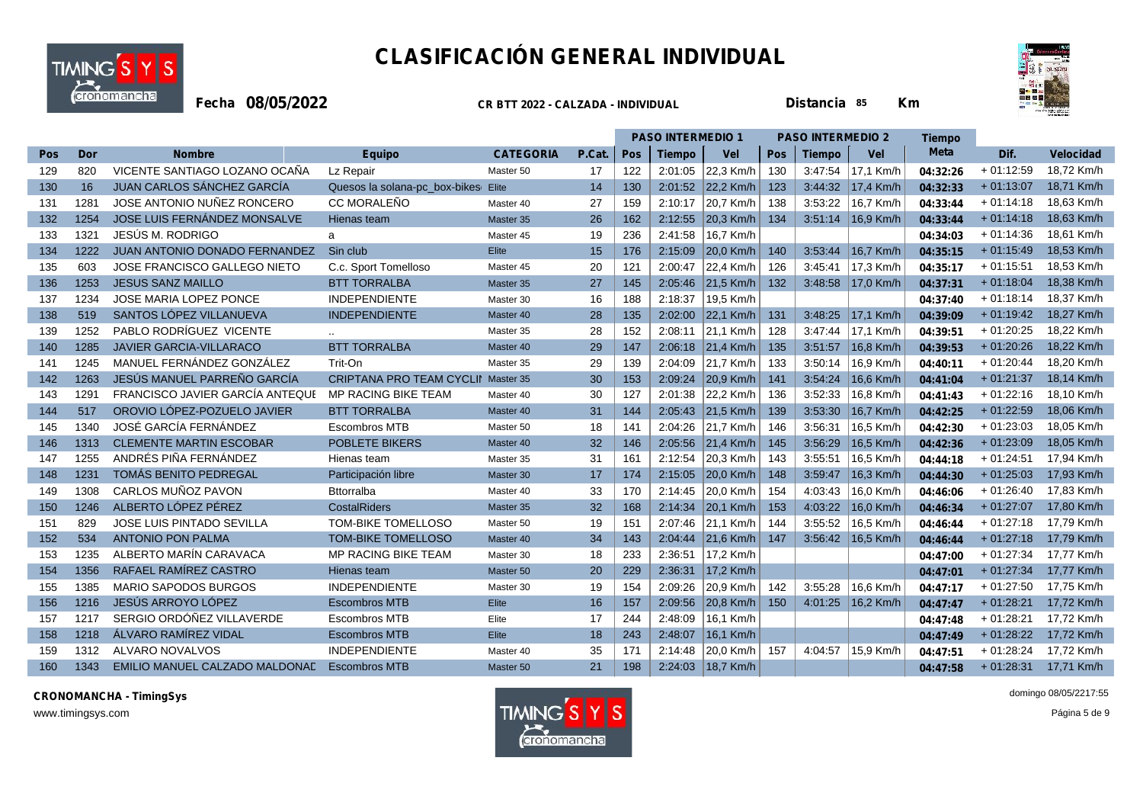

**08/05/2022**

**Fecha** *Km* **CR BTT 2022 - CALZADA - INDIVIDUAL**

*Distancia<sup>85</sup>*

|     |      |                                     |                                    |                  |        |            | <b>PASO INTERMEDIO 1</b> |              |            | <b>PASO INTERMEDIO 2</b> |           | <b>Tiempo</b> |             |            |
|-----|------|-------------------------------------|------------------------------------|------------------|--------|------------|--------------------------|--------------|------------|--------------------------|-----------|---------------|-------------|------------|
| Pos | Dor  | <b>Nombre</b>                       | <b>Equipo</b>                      | <b>CATEGORIA</b> | P.Cat. | <b>Pos</b> | <b>Tiempo</b>            | Vel          | <b>Pos</b> | <b>Tiempo</b>            | Vel       | <b>Meta</b>   | Dif.        | Velocidad  |
| 129 | 820  | VICENTE SANTIAGO LOZANO OCAÑA       | Lz Repair                          | Master 50        | 17     | 122        | 2:01:05                  | 22.3 Km/h    | 130        | 3:47:54                  | 17.1 Km/h | 04:32:26      | $+01:12:59$ | 18.72 Km/h |
| 130 | 16   | JUAN CARLOS SÁNCHEZ GARCÍA          | Quesos la solana-pc box-bikes      | Elite            | 14     | 130        | 2:01:52                  | 22,2 Km/h    | 123        | 3:44:32                  | 17,4 Km/h | 04:32:33      | $+01:13:07$ | 18,71 Km/h |
| 131 | 1281 | JOSE ANTONIO NUÑEZ RONCERO          | <b>CC MORALEÑO</b>                 | Master 40        | 27     | 159        | 2:10:17                  | 20.7 Km/h    | 138        | 3:53:22                  | 16.7 Km/h | 04:33:44      | $+01:14:18$ | 18.63 Km/h |
| 132 | 1254 | JOSE LUIS FERNÁNDEZ MONSALVE        | Hienas team                        | Master 35        | 26     | 162        | 2:12:55                  | 20,3 Km/h    | 134        | 3:51:14                  | 16,9 Km/h | 04:33:44      | $+01:14:18$ | 18,63 Km/h |
| 133 | 1321 | JESÚS M. RODRIGO                    | a                                  | Master 45        | 19     | 236        | 2:41:58                  | 16,7 Km/h    |            |                          |           | 04:34:03      | $+01:14:36$ | 18,61 Km/h |
| 134 | 1222 | JUAN ANTONIO DONADO FERNANDEZ       | Sin club                           | Elite            | 15     | 176        | 2:15:09                  | $20.0$ Km/h  | 140        | 3:53:44                  | 16,7 Km/h | 04:35:15      | $+01:15:49$ | 18,53 Km/h |
| 135 | 603  | <b>JOSE FRANCISCO GALLEGO NIETO</b> | C.c. Sport Tomelloso               | Master 45        | 20     | 121        | 2:00:47                  | 22,4 Km/h    | 126        | 3:45:41                  | 17,3 Km/h | 04:35:17      | $+01:15:51$ | 18,53 Km/h |
| 136 | 1253 | <b>JESUS SANZ MAILLO</b>            | <b>BTT TORRALBA</b>                | Master 35        | 27     | 145        | 2:05:46                  | $ 21.5$ Km/h | 132        | 3:48:58                  | 17.0 Km/h | 04:37:31      | $+01:18:04$ | 18,38 Km/h |
| 137 | 1234 | <b>JOSE MARIA LOPEZ PONCE</b>       | <b>INDEPENDIENTE</b>               | Master 30        | 16     | 188        | 2:18:37                  | 19,5 Km/h    |            |                          |           | 04:37:40      | $+01.18.14$ | 18,37 Km/h |
| 138 | 519  | SANTOS LÓPEZ VILLANUEVA             | <b>INDEPENDIENTE</b>               | Master 40        | 28     | 135        | 2:02:00                  | 22.1 Km/h    | 131        | 3:48:25                  | 17,1 Km/h | 04:39:09      | $+01:19:42$ | 18,27 Km/h |
| 139 | 1252 | PABLO RODRÍGUEZ VICENTE             |                                    | Master 35        | 28     | 152        | 2:08:11                  | 21,1 Km/h    | 128        | 3:47:44                  | 17.1 Km/h | 04:39:51      | $+01:20:25$ | 18,22 Km/h |
| 140 | 1285 | <b>JAVIER GARCIA-VILLARACO</b>      | <b>BTT TORRALBA</b>                | Master 40        | 29     | 147        | 2:06:18                  | $21.4$ Km/h  | 135        | 3:51:57                  | 16,8 Km/h | 04:39:53      | $+01:20:26$ | 18,22 Km/h |
| 141 | 1245 | MANUEL FERNÁNDEZ GONZÁLEZ           | Trit-On                            | Master 35        | 29     | 139        | 2:04:09                  | 21,7 Km/h    | 133        | 3:50:14                  | 16.9 Km/h | 04:40:11      | $+01:20:44$ | 18,20 Km/h |
| 142 | 1263 | JESÚS MANUEL PARREÑO GARCÍA         | CRIPTANA PRO TEAM CYCLII Master 35 |                  | 30     | 153        | 2:09:24                  | $20.9$ Km/h  | 141        | 3:54:24                  | 16,6 Km/h | 04:41:04      | $+01:21:37$ | 18,14 Km/h |
| 143 | 1291 | FRANCISCO JAVIER GARCÍA ANTEQUE     | <b>MP RACING BIKE TEAM</b>         | Master 40        | 30     | 127        | 2:01:38                  | 22,2 Km/h    | 136        | 3:52:33                  | 16,8 Km/h | 04:41:43      | $+01:22:16$ | 18,10 Km/h |
| 144 | 517  | OROVIO LÓPEZ-POZUELO JAVIER         | <b>BTT TORRALBA</b>                | Master 40        | 31     | 144        | 2:05:43                  | $ 21.5$ Km/h | 139        | 3:53:30                  | 16,7 Km/h | 04:42:25      | $+01:22:59$ | 18,06 Km/h |
| 145 | 1340 | JOSÉ GARCÍA FERNÁNDEZ               | <b>Escombros MTB</b>               | Master 50        | 18     | 141        | 2:04:26                  | 21,7 Km/h    | 146        | 3:56:31                  | 16,5 Km/h | 04:42:30      | $+01:23:03$ | 18,05 Km/h |
| 146 | 1313 | <b>CLEMENTE MARTIN ESCOBAR</b>      | <b>POBLETE BIKERS</b>              | Master 40        | 32     | 146        | 2:05:56                  | $21.4$ Km/h  | 145        | 3:56:29                  | 16,5 Km/h | 04:42:36      | $+01:23:09$ | 18,05 Km/h |
| 147 | 1255 | ANDRÉS PIÑA FERNÁNDEZ               | Hienas team                        | Master 35        | 31     | 161        | 2:12:54                  | 20,3 Km/h    | 143        | 3:55:51                  | 16,5 Km/h | 04:44:18      | $+01:24:51$ | 17,94 Km/h |
| 148 | 1231 | <b>TOMÁS BENITO PEDREGAL</b>        | Participación libre                | Master 30        | 17     | 174        | 2:15:05                  | 20,0 Km/h    | 148        | 3:59:47                  | 16,3 Km/h | 04:44:30      | $+01:25:03$ | 17,93 Km/h |
| 149 | 1308 | CARLOS MUÑOZ PAVON                  | <b>Bttorralba</b>                  | Master 40        | 33     | 170        | 2:14:45                  | 20.0 Km/h    | 154        | 4:03:43                  | 16.0 Km/h | 04:46:06      | $+01:26:40$ | 17,83 Km/h |
| 150 | 1246 | ALBERTO LÓPEZ PÉREZ                 | <b>CostalRiders</b>                | Master 35        | 32     | 168        | 2:14:34                  | $20,1$ Km/h  | 153        | 4:03:22                  | 16,0 Km/h | 04:46:34      | $+01:27:07$ | 17,80 Km/h |
| 151 | 829  | <b>JOSE LUIS PINTADO SEVILLA</b>    | <b>TOM-BIKE TOMELLOSO</b>          | Master 50        | 19     | 151        | 2:07:46                  | 21.1 Km/h    | 144        | 3:55:52                  | 16.5 Km/h | 04:46:44      | $+01:27:18$ | 17,79 Km/h |
| 152 | 534  | <b>ANTONIO PON PALMA</b>            | <b>TOM-BIKE TOMELLOSO</b>          | Master 40        | 34     | 143        | 2:04:44                  | $21.6$ Km/h  | 147        | 3:56:42                  | 16,5 Km/h | 04:46:44      | $+01:27:18$ | 17,79 Km/h |
| 153 | 1235 | ALBERTO MARÍN CARAVACA              | <b>MP RACING BIKE TEAM</b>         | Master 30        | 18     | 233        | 2:36:51                  | 17,2 Km/h    |            |                          |           | 04:47:00      | $+01:27:34$ | 17,77 Km/h |
| 154 | 1356 | RAFAEL RAMÍREZ CASTRO               | Hienas team                        | Master 50        | 20     | 229        | 2:36:31                  | 17.2 Km/h    |            |                          |           | 04:47:01      | $+01:27:34$ | 17,77 Km/h |
| 155 | 1385 | <b>MARIO SAPODOS BURGOS</b>         | <b>INDEPENDIENTE</b>               | Master 30        | 19     | 154        | 2:09:26                  | 20.9 Km/h    | 142        | 3:55:28                  | 16.6 Km/h | 04:47:17      | $+01:27:50$ | 17,75 Km/h |
| 156 | 1216 | JESÚS ARROYO LÓPEZ                  | <b>Escombros MTB</b>               | Elite            | 16     | 157        | 2:09:56                  | 20.8 Km/h    | 150        | 4:01:25                  | 16.2 Km/h | 04:47:47      | $+01:28:21$ | 17,72 Km/h |
| 157 | 1217 | SERGIO ORDÓÑEZ VILLAVERDE           | <b>Escombros MTB</b>               | Elite            | 17     | 244        | 2:48:09                  | 16.1 Km/h    |            |                          |           | 04:47:48      | $+01:28:21$ | 17,72 Km/h |
| 158 | 1218 | ÁLVARO RAMÍREZ VIDAL                | <b>Escombros MTB</b>               | Elite            | 18     | 243        | 2:48:07                  | 16.1 Km/h    |            |                          |           | 04:47:49      | $+01:28:22$ | 17,72 Km/h |
| 159 | 1312 | ALVARO NOVALVOS                     | <b>INDEPENDIENTE</b>               | Master 40        | 35     | 171        | 2:14:48                  | 20.0 Km/h    | 157        | 4:04:57                  | 15.9 Km/h | 04:47:51      | $+01:28:24$ | 17.72 Km/h |
| 160 | 1343 | EMILIO MANUEL CALZADO MALDONAE      | <b>Escombros MTB</b>               | Master 50        | 21     | 198        | 2:24:03                  | 18,7 Km/h    |            |                          |           | 04:47:58      | $+01:28:31$ | 17,71 Km/h |

**CRONOMANCHA - TimingSys**

**TIMING'S Y S Contomandia** 

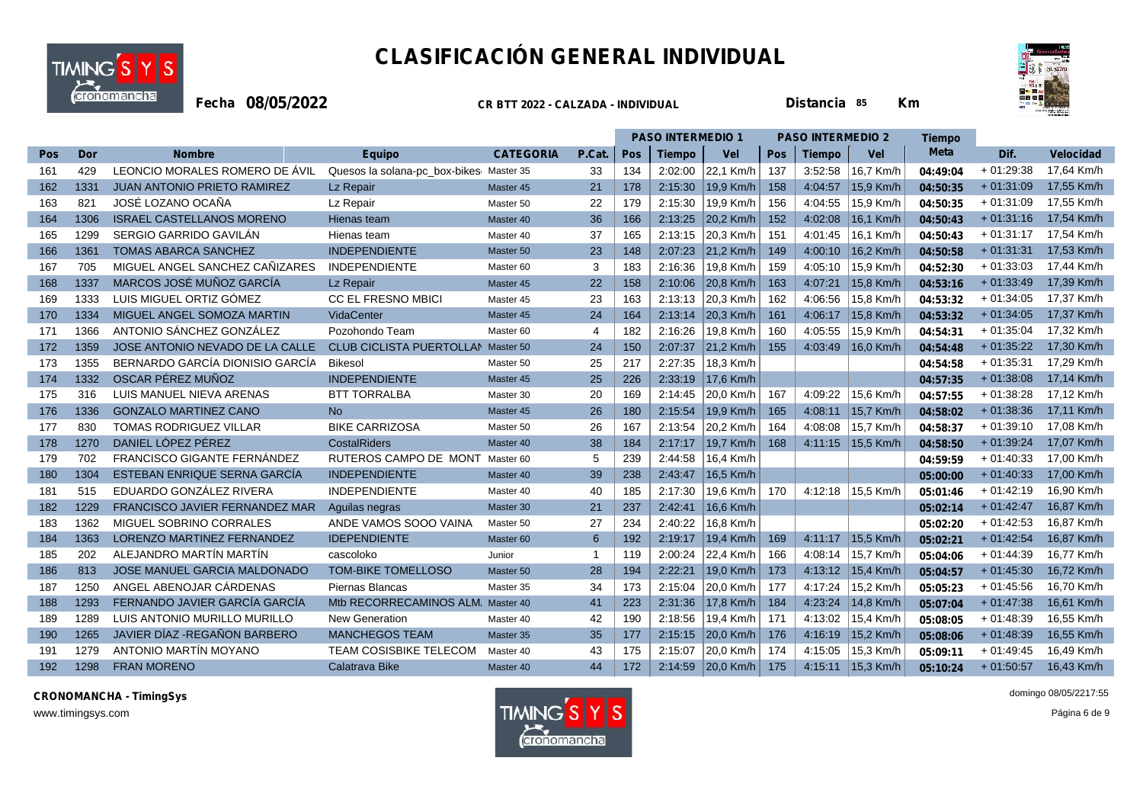

**08/05/2022**

**Fecha** *Km* **CR BTT 2022 - CALZADA - INDIVIDUAL**

*Distancia<sup>85</sup>*

|            |      |                                     |                                   |                      |            |            | <b>PASO INTERMEDIO 1</b> |             |     | <b>PASO INTERMEDIO 2</b> |           | <b>Tiempo</b> |             |                  |
|------------|------|-------------------------------------|-----------------------------------|----------------------|------------|------------|--------------------------|-------------|-----|--------------------------|-----------|---------------|-------------|------------------|
| <b>Pos</b> | Dor  | <b>Nombre</b>                       | <b>Equipo</b>                     | <b>CATEGORIA</b>     | P.Cat.     | <b>Pos</b> | <b>Tiempo</b>            | Vel         | Pos | <b>Tiempo</b>            | Vel       | <b>Meta</b>   | Dif.        | <b>Velocidad</b> |
| 161        | 429  | LEONCIO MORALES ROMERO DE ÁVIL      | Quesos la solana-pc box-bikes     | Master 35            | 33         | 134        | 2:02:00                  | 22.1 Km/h   | 137 | 3:52:58                  | 16.7 Km/h | 04:49:04      | $+01:29:38$ | 17.64 Km/h       |
| 162        | 1331 | <b>JUAN ANTONIO PRIETO RAMIREZ</b>  | Lz Repair                         | Master 45            | 21         | 178        | 2:15:30                  | 19.9 Km/h   | 158 | 4:04:57                  | 15.9 Km/h | 04:50:35      | $+01:31:09$ | 17,55 Km/h       |
| 163        | 821  | JOSÉ LOZANO OCAÑA                   | Lz Repair                         | Master 50            | 22         | 179        | 2:15:30                  | 19.9 Km/h   | 156 | 4:04:55                  | 15.9 Km/h | 04:50:35      | $+01:31:09$ | 17.55 Km/h       |
| 164        | 1306 | <b>ISRAEL CASTELLANOS MORENO</b>    | Hienas team                       | Master 40            | 36         | 166        | 2:13:25                  | 20,2 Km/h   | 152 | 4:02:08                  | 16.1 Km/h | 04:50:43      | $+01:31:16$ | 17,54 Km/h       |
| 165        | 1299 | SERGIO GARRIDO GAVILÁN              | Hienas team                       | Master 40            | 37         | 165        | 2:13:15                  | 20.3 Km/h   | 151 | 4:01:45                  | 16.1 Km/h | 04:50:43      | $+01:31:17$ | 17,54 Km/h       |
| 166        | 1361 | <b>TOMAS ABARCA SANCHEZ</b>         | <b>INDEPENDIENTE</b>              | Master 50            | 23         | 148        | 2:07:23                  | 21,2 Km/h   | 149 | 4:00:10                  | 16,2 Km/h | 04:50:58      | $+01:31:31$ | 17,53 Km/h       |
| 167        | 705  | MIGUEL ANGEL SANCHEZ CAÑIZARES      | <b>INDEPENDIENTE</b>              | Master <sub>60</sub> | 3          | 183        | 2:16:36                  | 19,8 Km/h   | 159 | 4:05:10                  | 15,9 Km/h | 04:52:30      | $+01:33:03$ | 17,44 Km/h       |
| 168        | 1337 | MARCOS JOSÉ MUÑOZ GARCÍA            | Lz Repair                         | Master 45            | 22         | 158        | 2:10:06                  | 20,8 Km/h   | 163 | 4:07:21                  | 15,8 Km/h | 04:53:16      | $+01:33:49$ | 17,39 Km/h       |
| 169        | 1333 | LUIS MIGUEL ORTIZ GÓMEZ             | <b>CC EL FRESNO MBICI</b>         | Master 45            | 23         | 163        | 2:13:13                  | 20,3 Km/h   | 162 | 4:06:56                  | 15,8 Km/h | 04:53:32      | $+01:34:05$ | 17,37 Km/h       |
| 170        | 1334 | MIGUEL ANGEL SOMOZA MARTIN          | VidaCenter                        | Master 45            | 24         | 164        | 2:13:14                  | 20.3 Km/h   | 161 | 4:06:17                  | 15,8 Km/h | 04:53:32      | $+01:34:05$ | 17,37 Km/h       |
| 171        | 1366 | ANTONIO SÁNCHEZ GONZÁLEZ            | Pozohondo Team                    | Master <sub>60</sub> | $\Delta$   | 182        | 2:16:26                  | 19.8 Km/h   | 160 | 4:05:55                  | 15.9 Km/h | 04:54:31      | $+01:35:04$ | 17,32 Km/h       |
| 172        | 1359 | JOSE ANTONIO NEVADO DE LA CALLE     | <b>CLUB CICLISTA PUERTOLLAN</b>   | Master 50            | 24         | 150        | 2:07:37                  | 21.2 Km/h   | 155 | 4:03:49                  | 16.0 Km/h | 04:54:48      | $+01:35:22$ | 17,30 Km/h       |
| 173        | 1355 | BERNARDO GARCÍA DIONISIO GARCÍA     | <b>Bikesol</b>                    | Master 50            | 25         | 217        | 2:27:35                  | 18.3 Km/h   |     |                          |           | 04:54:58      | $+01:35:31$ | 17.29 Km/h       |
| 174        | 1332 | OSCAR PÉREZ MUÑOZ                   | <b>INDEPENDIENTE</b>              | Master 45            | 25         | 226        | 2:33:19                  | 17,6 Km/h   |     |                          |           | 04:57:35      | $+01:38:08$ | 17,14 Km/h       |
| 175        | 316  | LUIS MANUEL NIEVA ARENAS            | <b>BTT TORRALBA</b>               | Master 30            | 20         | 169        | 2:14:45                  | 20.0 Km/h   | 167 | 4:09:22                  | 15.6 Km/h | 04:57:55      | $+01:38:28$ | 17.12 Km/h       |
| 176        | 1336 | <b>GONZALO MARTINEZ CANO</b>        | <b>No</b>                         | Master 45            | 26         | 180        | 2:15:54                  | 19.9 Km/h   | 165 | 4:08:11                  | 15,7 Km/h | 04:58:02      | $+01:38:36$ | 17,11 Km/h       |
| 177        | 830  | <b>TOMAS RODRIGUEZ VILLAR</b>       | <b>BIKE CARRIZOSA</b>             | Master 50            | 26         | 167        | 2:13:54                  | 20.2 Km/h   | 164 | 4:08:08                  | 15.7 Km/h | 04:58:37      | $+01:39:10$ | 17,08 Km/h       |
| 178        | 1270 | DANIEL LÓPEZ PÉREZ                  | <b>CostalRiders</b>               | Master 40            | 38         | 184        | 2:17:17                  | 19.7 Km/h   | 168 | 4:11:15                  | 15,5 Km/h | 04:58:50      | $+01:39:24$ | 17,07 Km/h       |
| 179        | 702  | FRANCISCO GIGANTE FERNÁNDEZ         | RUTEROS CAMPO DE MONT             | Master 60            | 5          | 239        | 2:44:58                  | 16,4 Km/h   |     |                          |           | 04:59:59      | $+01.40.33$ | 17,00 Km/h       |
| 180        | 1304 | ESTEBAN ENRIQUE SERNA GARCÍA        | <b>INDEPENDIENTE</b>              | Master 40            | 39         | 238        | 2:43:47                  | 16,5 Km/h   |     |                          |           | 05:00:00      | $+01:40:33$ | 17,00 Km/h       |
| 181        | 515  | EDUARDO GONZÁLEZ RIVERA             | <b>INDEPENDIENTE</b>              | Master 40            | 40         | 185        | 2:17:30                  | 19.6 Km/h   | 170 | 4:12:18                  | 15.5 Km/h | 05:01:46      | + 01:42:19  | 16,90 Km/h       |
| 182        | 1229 | FRANCISCO JAVIER FERNANDEZ MAR      | Aguilas negras                    | Master 30            | 21         | 237        | 2:42:41                  | 16,6 Km/h   |     |                          |           | 05:02:14      | $+01:42:47$ | 16,87 Km/h       |
| 183        | 1362 | MIGUEL SOBRINO CORRALES             | ANDE VAMOS SOOO VAINA             | Master 50            | 27         | 234        | 2:40:22                  | 16.8 Km/h   |     |                          |           | 05:02:20      | $+01:42:53$ | 16.87 Km/h       |
| 184        | 1363 | <b>LORENZO MARTINEZ FERNANDEZ</b>   | <b>IDEPENDIENTE</b>               | Master <sub>60</sub> | $\epsilon$ | 192        | 2:19:17                  | 19,4 Km/h   | 169 | 4:11:17                  | 15,5 Km/h | 05:02:21      | $+01:42:54$ | 16,87 Km/h       |
| 185        | 202  | ALEJANDRO MARTÍN MARTÍN             | cascoloko                         | Junior               |            | 119        | 2:00:24                  | 22.4 Km/h   | 166 | 4:08:14                  | 15.7 Km/h | 05:04:06      | $+01:44:39$ | 16.77 Km/h       |
| 186        | 813  | <b>JOSE MANUEL GARCIA MALDONADO</b> | <b>TOM-BIKE TOMELLOSO</b>         | Master 50            | 28         | 194        | 2:22:21                  | 19.0 Km/h   | 173 | 4:13:12                  | 15,4 Km/h | 05:04:57      | $+01:45:30$ | 16,72 Km/h       |
| 187        | 1250 | ANGEL ABENOJAR CÁRDENAS             | Piernas Blancas                   | Master 35            | 34         | 173        | 2:15:04                  | 20.0 Km/h   | 177 | 4:17:24                  | 15.2 Km/h | 05:05:23      | $+01:45:56$ | 16.70 Km/h       |
| 188        | 1293 | FERNANDO JAVIER GARCÍA GARCÍA       | Mtb RECORRECAMINOS ALM, Master 40 |                      | 41         | 223        | 2:31:36                  | 17.8 Km/h   | 184 | 4:23:24                  | 14.8 Km/h | 05:07:04      | $+01:47:38$ | 16,61 Km/h       |
| 189        | 1289 | LUIS ANTONIO MURILLO MURILLO        | <b>New Generation</b>             | Master 40            | 42         | 190        | 2:18:56                  | 19.4 Km/h   | 171 | 4:13:02                  | 15.4 Km/h | 05:08:05      | $+01.48.39$ | 16,55 Km/h       |
| 190        | 1265 | JAVIER DÍAZ - REGAÑON BARBERO       | <b>MANCHEGOS TEAM</b>             | Master 35            | 35         | 177        | 2:15:15                  | 20,0 Km/h   | 176 | 4:16:19                  | 15,2 Km/h | 05:08:06      | $+01:48:39$ | 16,55 Km/h       |
| 191        | 1279 | ANTONIO MARTÍN MOYANO               | <b>TEAM COSISBIKE TELECOM</b>     | Master 40            | 43         | 175        | 2:15:07                  | 20.0 Km/h   | 174 | 4:15:05                  | 15,3 Km/h | 05:09:11      | $+01.49.45$ | 16,49 Km/h       |
| 192        | 1298 | <b>FRAN MORENO</b>                  | Calatrava Bike                    | Master 40            | 44         | 172        | 2:14:59                  | $20.0$ Km/h | 175 | 4:15:11                  | 15,3 Km/h | 05:10:24      | $+01:50:57$ | 16,43 Km/h       |

**CRONOMANCHA - TimingSys**

**TIMING'S Y S Contomandia** 

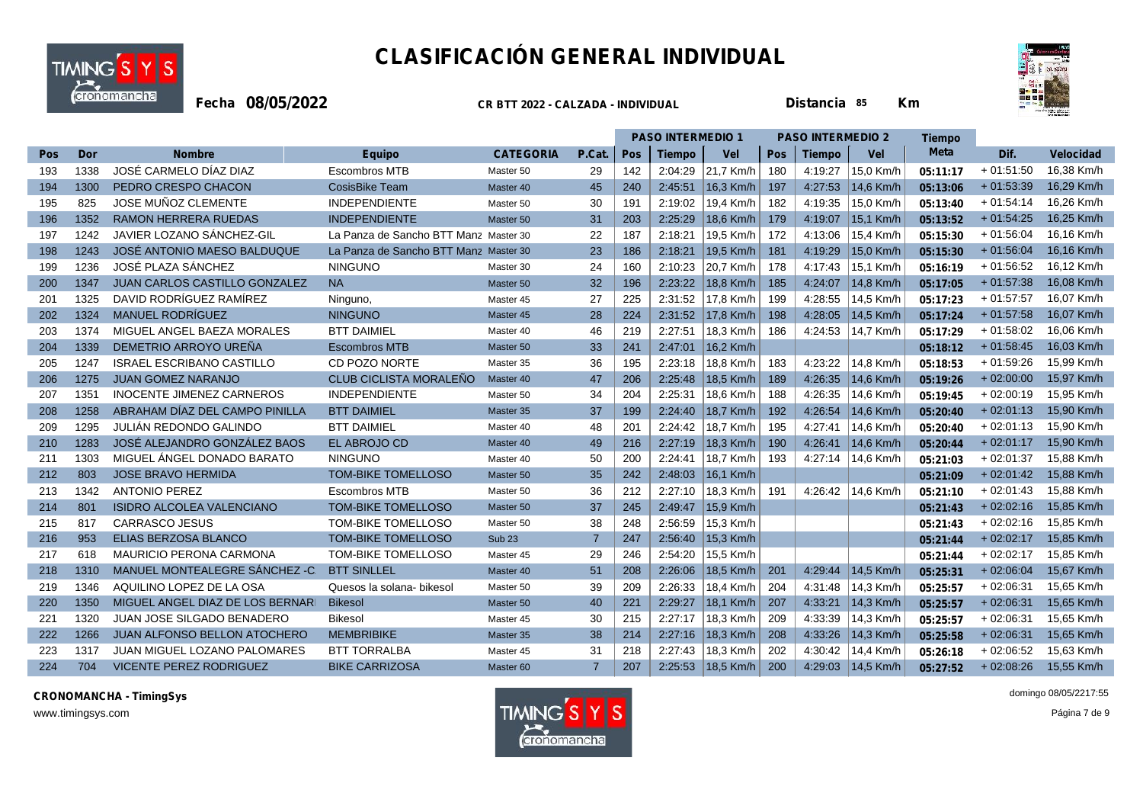

**08/05/2022**

**Fecha** *Km* **CR BTT 2022 - CALZADA - INDIVIDUAL**

*Distancia<sup>85</sup>*

|            |      |                                      |                                       |                      |        |            | PASO INTERMEDIO 1 |            |            | <b>PASO INTERMEDIO 2</b> |           | <b>Tiempo</b> |             |                  |
|------------|------|--------------------------------------|---------------------------------------|----------------------|--------|------------|-------------------|------------|------------|--------------------------|-----------|---------------|-------------|------------------|
| <b>Pos</b> | Dor  | <b>Nombre</b>                        | <b>Equipo</b>                         | <b>CATEGORIA</b>     | P.Cat. | <b>Pos</b> | Tiempo            | <b>Vel</b> | <b>Pos</b> | <b>Tiempo</b>            | Vel       | <b>Meta</b>   | Dif.        | <b>Velocidad</b> |
| 193        | 1338 | JOSÉ CARMELO DÍAZ DIAZ               | <b>Escombros MTB</b>                  | Master 50            | 29     | 142        | 2:04:29           | 21.7 Km/h  | 180        | 4:19:27                  | 15.0 Km/h | 05:11:17      | $+01:51:50$ | 16.38 Km/h       |
| 194        | 1300 | PEDRO CRESPO CHACON                  | CosisBike Team                        | Master 40            | 45     | 240        | 2:45:51           | 16.3 Km/h  | 197        | 4:27:53                  | 14.6 Km/h | 05:13:06      | $+01:53:39$ | 16.29 Km/h       |
| 195        | 825  | JOSE MUÑOZ CLEMENTE                  | <b>INDEPENDIENTE</b>                  | Master 50            | 30     | 191        | 2:19:02           | 19.4 Km/h  | 182        | 4:19:35                  | 15.0 Km/h | 05:13:40      | $+01:54:14$ | 16,26 Km/h       |
| 196        | 1352 | <b>RAMON HERRERA RUEDAS</b>          | <b>INDEPENDIENTE</b>                  | Master 50            | 31     | 203        | 2:25:29           | 18.6 Km/h  | 179        | 4:19:07                  | 15,1 Km/h | 05:13:52      | $+01:54:25$ | 16,25 Km/h       |
| 197        | 1242 | JAVIER LOZANO SÁNCHEZ-GIL            | La Panza de Sancho BTT Manz Master 30 |                      | 22     | 187        | 2:18:21           | 19,5 Km/h  | 172        | 4:13:06                  | 15,4 Km/h | 05:15:30      | $+01:56:04$ | 16.16 Km/h       |
| 198        | 1243 | JOSÉ ANTONIO MAESO BALDUQUE          | La Panza de Sancho BTT Manz Master 30 |                      | 23     | 186        | 2:18:21           | 19,5 Km/h  | 181        | 4:19:29                  | 15,0 Km/h | 05:15:30      | $+01:56:04$ | 16,16 Km/h       |
| 199        | 1236 | JOSÉ PLAZA SÁNCHEZ                   | <b>NINGUNO</b>                        | Master 30            | 24     | 160        | 2:10:23           | 20.7 Km/h  | 178        | 4:17:43                  | 15.1 Km/h | 05:16:19      | $+01:56:52$ | 16,12 Km/h       |
| 200        | 1347 | <b>JUAN CARLOS CASTILLO GONZALEZ</b> | <b>NA</b>                             | Master 50            | 32     | 196        | 2:23:22           | 18,8 Km/h  | 185        | 4:24:07                  | 14,8 Km/h | 05:17:05      | $+01:57:38$ | 16,08 Km/h       |
| 201        | 1325 | DAVID RODRÍGUEZ RAMÍREZ              | Ninguno,                              | Master 45            | 27     | 225        | 2:31:52           | 17,8 Km/h  | 199        | 4:28:55                  | 14.5 Km/h | 05:17:23      | $+01:57:57$ | 16.07 Km/h       |
| 202        | 1324 | <b>MANUEL RODRÍGUEZ</b>              | <b>NINGUNO</b>                        | Master 45            | 28     | 224        | 2:31:52           | 17.8 Km/h  | 198        | 4:28:05                  | 14,5 Km/h | 05:17:24      | $+01:57:58$ | 16,07 Km/h       |
| 203        | 1374 | MIGUEL ANGEL BAEZA MORALES           | <b>BTT DAIMIEL</b>                    | Master 40            | 46     | 219        | 2:27:51           | 18.3 Km/h  | 186        | 4:24:53                  | 14.7 Km/h | 05:17:29      | $+01:58:02$ | 16.06 Km/h       |
| 204        | 1339 | DEMETRIO ARROYO UREÑA                | <b>Escombros MTB</b>                  | Master 50            | 33     | 241        | 2:47:01           | 16.2 Km/h  |            |                          |           | 05:18:12      | $+01:58:45$ | 16,03 Km/h       |
| 205        | 1247 | ISRAEL ESCRIBANO CASTILLO            | CD POZO NORTE                         | Master 35            | 36     | 195        | 2:23:18           | 18.8 Km/h  | 183        | 4:23:22                  | 14.8 Km/h | 05:18:53      | $+01:59:26$ | 15.99 Km/h       |
| 206        | 1275 | <b>JUAN GOMEZ NARANJO</b>            | CLUB CICLISTA MORALEÑO                | Master 40            | 47     | 206        | 2:25:48           | 18,5 Km/h  | 189        | 4:26:35                  | 14,6 Km/h | 05:19:26      | $+02:00:00$ | 15,97 Km/h       |
| 207        | 1351 | <b>INOCENTE JIMENEZ CARNEROS</b>     | <b>INDEPENDIENTE</b>                  | Master 50            | 34     | 204        | 2:25:31           | 18.6 Km/h  | 188        | 4:26:35                  | 14,6 Km/h | 05:19:45      | $+02:00:19$ | 15,95 Km/h       |
| 208        | 1258 | ABRAHAM DÍAZ DEL CAMPO PINILLA       | <b>BTT DAIMIEL</b>                    | Master 35            | 37     | 199        | 2:24:40           | 18,7 Km/h  | 192        | 4:26:54                  | 14,6 Km/h | 05:20:40      | $+02:01:13$ | 15,90 Km/h       |
| 209        | 1295 | JULIÁN REDONDO GALINDO               | <b>BTT DAIMIEL</b>                    | Master 40            | 48     | 201        | 2:24:42           | 18.7 Km/h  | 195        | 4:27:41                  | 14.6 Km/h | 05:20:40      | $+02:01:13$ | 15,90 Km/h       |
| 210        | 1283 | JOSÉ ALEJANDRO GONZÁLEZ BAOS         | EL ABROJO CD                          | Master 40            | 49     | 216        | 2:27:19           | 18,3 Km/h  | 190        | 4:26:41                  | 14,6 Km/h | 05:20:44      | $+02:01:17$ | 15,90 Km/h       |
| 211        | 1303 | MIGUEL ÁNGEL DONADO BARATO           | <b>NINGUNO</b>                        | Master 40            | 50     | 200        | 2:24:41           | 18,7 Km/h  | 193        | 4:27:14                  | 14,6 Km/h | 05:21:03      | $+02:01:37$ | 15,88 Km/h       |
| 212        | 803  | <b>JOSE BRAVO HERMIDA</b>            | <b>TOM-BIKE TOMELLOSO</b>             | Master 50            | 35     | 242        | 2:48:03           | 16,1 Km/h  |            |                          |           | 05:21:09      | $+02:01:42$ | 15,88 Km/h       |
| 213        | 1342 | <b>ANTONIO PEREZ</b>                 | <b>Escombros MTB</b>                  | Master 50            | 36     | 212        | 2:27:10           | 18.3 Km/h  | 191        | 4.26.42                  | 14.6 Km/h | 05:21:10      | $+02:01:43$ | 15,88 Km/h       |
| 214        | 801  | <b>ISIDRO ALCOLEA VALENCIANO</b>     | <b>TOM-BIKE TOMELLOSO</b>             | Master 50            | 37     | 245        | 2:49:47           | 15,9 Km/h  |            |                          |           | 05:21:43      | $+02:02:16$ | 15,85 Km/h       |
| 215        | 817  | <b>CARRASCO JESUS</b>                | <b>TOM-BIKE TOMELLOSO</b>             | Master 50            | 38     | 248        | 2:56:59           | 15,3 Km/h  |            |                          |           | 05:21:43      | $+02:02:16$ | 15,85 Km/h       |
| 216        | 953  | ELIAS BERZOSA BLANCO                 | <b>TOM-BIKE TOMELLOSO</b>             | <b>Sub 23</b>        | -7     | 247        | 2:56:40           | 15,3 Km/h  |            |                          |           | 05:21:44      | $+02:02:17$ | 15,85 Km/h       |
| 217        | 618  | <b>MAURICIO PERONA CARMONA</b>       | <b>TOM-BIKE TOMELLOSO</b>             | Master 45            | 29     | 246        | 2:54:20           | 15,5 Km/h  |            |                          |           | 05:21:44      | $+02:02:17$ | 15,85 Km/h       |
| 218        | 1310 | MANUEL MONTEALEGRE SÁNCHEZ -C        | <b>BTT SINLLEL</b>                    | Master 40            | 51     | 208        | 2:26:06           | 18,5 Km/h  | 201        | 4:29:44                  | 14,5 Km/h | 05:25:31      | $+02:06:04$ | 15,67 Km/h       |
| 219        | 1346 | AQUILINO LOPEZ DE LA OSA             | Quesos la solana- bikesol             | Master 50            | 39     | 209        | 2:26:33           | 18,4 Km/h  | 204        | 4:31:48                  | 14,3 Km/h | 05:25:57      | $+02:06:31$ | 15,65 Km/h       |
| 220        | 1350 | MIGUEL ANGEL DIAZ DE LOS BERNAR      | <b>Bikesol</b>                        | Master 50            | 40     | 221        | 2:29:27           | 18.1 Km/h  | 207        | 4:33:21                  | 14,3 Km/h | 05:25:57      | $+02:06:31$ | 15,65 Km/h       |
| 221        | 1320 | <b>JUAN JOSE SILGADO BENADERO</b>    | <b>Bikesol</b>                        | Master 45            | 30     | 215        | 2:27:17           | 18.3 Km/h  | 209        | 4:33:39                  | 14,3 Km/h | 05:25:57      | $+02:06:31$ | 15,65 Km/h       |
| 222        | 1266 | <b>JUAN ALFONSO BELLON ATOCHERO</b>  | <b>MEMBRIBIKE</b>                     | Master 35            | 38     | 214        | 2:27:16           | 18,3 Km/h  | 208        | 4:33:26                  | 14,3 Km/h | 05:25:58      | $+02:06:31$ | 15,65 Km/h       |
| 223        | 1317 | <b>JUAN MIGUEL LOZANO PALOMARES</b>  | <b>BTT TORRALBA</b>                   | Master 45            | 31     | 218        | 2:27:43           | 18.3 Km/h  | 202        | 4:30:42                  | 14.4 Km/h | 05:26:18      | $+02:06:52$ | 15,63 Km/h       |
| 224        | 704  | <b>VICENTE PEREZ RODRIGUEZ</b>       | <b>BIKE CARRIZOSA</b>                 | Master <sub>60</sub> |        | 207        | 2:25:53           | 18,5 Km/h  | 200        | 4:29:03                  | 14,5 Km/h | 05:27:52      | $+02:08:26$ | 15,55 Km/h       |

**CRONOMANCHA - TimingSys**

**TIMING'S Y S Conformancina** 

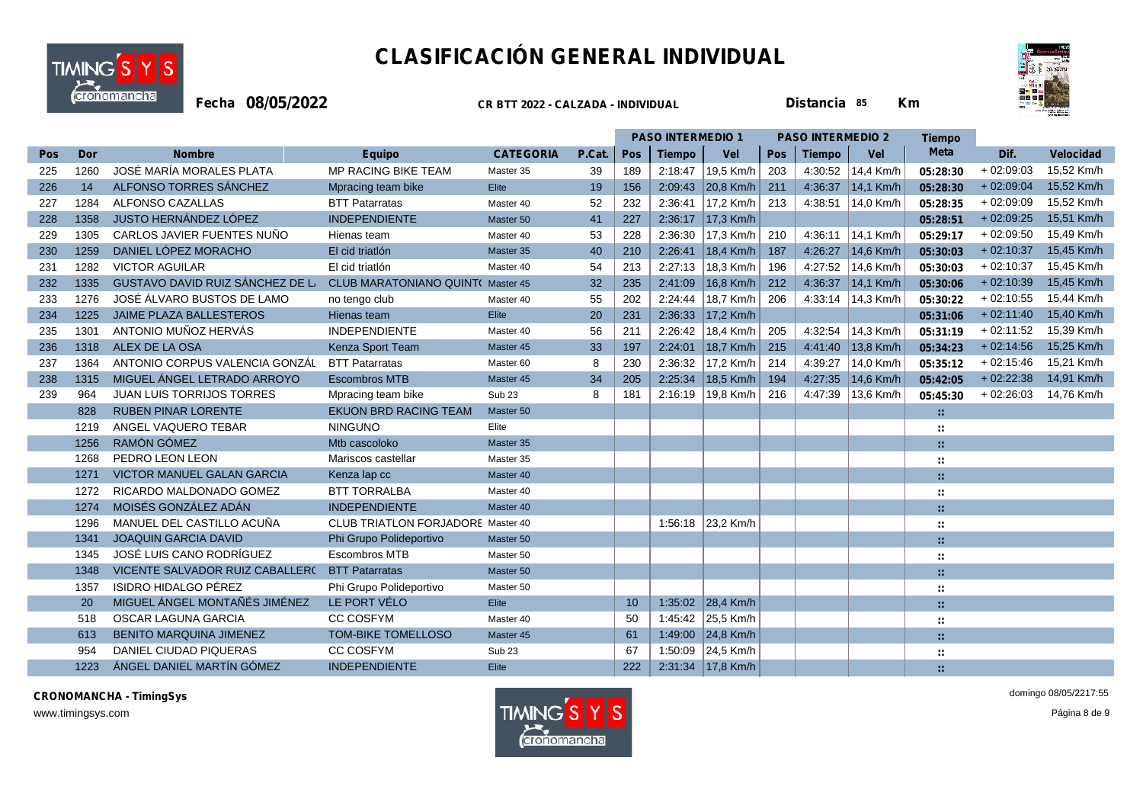

**08/05/2022**

**Fecha** *Km* **CR BTT 2022 - CALZADA - INDIVIDUAL**

*Distancia<sup>85</sup>*

|            |      |                                   |                                          |                      |        |     | <b>PASO INTERMEDIO 1</b> |                       |            | <b>PASO INTERMEDIO 2</b> |           | <b>Tiempo</b>               |             |            |  |
|------------|------|-----------------------------------|------------------------------------------|----------------------|--------|-----|--------------------------|-----------------------|------------|--------------------------|-----------|-----------------------------|-------------|------------|--|
| <b>Pos</b> | Dor  | <b>Nombre</b>                     | <b>Equipo</b>                            | <b>CATEGORIA</b>     | P.Cat. | Pos | <b>Tiempo</b>            | Vel                   | <b>Pos</b> | <b>Tiempo</b>            | Vel       | <b>Meta</b>                 | Dif.        | Velocidad  |  |
| 225        | 1260 | JOSÉ MARÍA MORALES PLATA          | <b>MP RACING BIKE TEAM</b>               | Master 35            | 39     | 189 | 2:18:47                  | 19.5 Km/h             | 203        | 4:30:52                  | 14.4 Km/h | 05:28:30                    | $+02:09:03$ | 15,52 Km/h |  |
| 226        | 14   | ALFONSO TORRES SÁNCHEZ            | Mpracing team bike                       | Elite                | 19     | 156 |                          | $2:09:43$ 20.8 Km/h   | 211        | 4:36:37                  | 14,1 Km/h | 05:28:30                    | $+02:09:04$ | 15,52 Km/h |  |
| 227        | 1284 | ALFONSO CAZALLAS                  | <b>BTT Patarratas</b>                    | Master 40            | 52     | 232 | 2:36:41                  | 17,2 Km/h             | 213        | 4:38:51                  | 14,0 Km/h | 05:28:35                    | $+02:09:09$ | 15,52 Km/h |  |
| 228        | 1358 | JUSTO HERNÁNDEZ LÓPEZ             | <b>INDEPENDIENTE</b>                     | Master 50            | 41     | 227 | 2:36:17                  | $17,3$ Km/h           |            |                          |           | 05:28:51                    | $+02:09:25$ | 15,51 Km/h |  |
| 229        | 1305 | CARLOS JAVIER FUENTES NUÑO        | Hienas team                              | Master 40            | 53     | 228 | 2:36:30                  | 17,3 Km/h             | 210        | 4:36:11                  | 14,1 Km/h | 05:29:17                    | $+02:09:50$ | 15,49 Km/h |  |
| 230        | 1259 | DANIEL LÓPEZ MORACHO              | El cid triatión                          | Master 35            | 40     | 210 | 2:26:41                  | $18,4$ Km/h           | 187        | 4:26:27                  | 14,6 Km/h | 05:30:03                    | $+02:10:37$ | 15,45 Km/h |  |
| 231        | 1282 | <b>VICTOR AGUILAR</b>             | El cid triatlón                          | Master 40            | 54     | 213 | 2:27:13                  | 18,3 Km/h             | 196        | 4:27:52                  | 14,6 Km/h | 05:30:03                    | $+02:10:37$ | 15,45 Km/h |  |
| 232        | 1335 | GUSTAVO DAVID RUIZ SÁNCHEZ DE L   | <b>CLUB MARATONIANO QUINT(</b>           | Master 45            | 32     | 235 | 2:41:09                  | $16,8$ Km/h           | 212        | 4:36:37                  | 14,1 Km/h | 05:30:06                    | $+02:10:39$ | 15,45 Km/h |  |
| 233        | 1276 | JOSÉ ÁLVARO BUSTOS DE LAMO        | no tengo club                            | Master 40            | 55     | 202 | 2:24:44                  | 18,7 Km/h             | 206        | 4:33:14                  | 14,3 Km/h | 05:30:22                    | $+02:10:55$ | 15,44 Km/h |  |
| 234        | 1225 | <b>JAIME PLAZA BALLESTEROS</b>    | Hienas team                              | Elite                | 20     | 231 | 2:36:33                  | 17,2 Km/h             |            |                          |           | 05:31:06                    | $+02:11:40$ | 15,40 Km/h |  |
| 235        | 1301 | ANTONIO MUÑOZ HERVÁS              | <b>INDEPENDIENTE</b>                     | Master 40            | 56     | 211 | 2:26:42                  | 18,4 Km/h             | 205        | 4:32:54                  | 14.3 Km/h | 05:31:19                    | $+02:11:52$ | 15,39 Km/h |  |
| 236        | 1318 | ALEX DE LA OSA                    | <b>Kenza Sport Team</b>                  | Master <sub>45</sub> | 33     | 197 | 2:24:01                  | 18,7 Km/h             | 215        | 4:41:40                  | 13.8 Km/h | 05:34:23                    | $+02:14:56$ | 15,25 Km/h |  |
| 237        | 1364 | ANTONIO CORPUS VALENCIA GONZÁL    | <b>BTT Patarratas</b>                    | Master <sub>60</sub> | 8      | 230 | 2:36:32                  | 17,2 Km/h             | 214        | 4:39:27                  | 14,0 Km/h | 05:35:12                    | $+02:15:46$ | 15,21 Km/h |  |
| 238        | 1315 | MIGUEL ÁNGEL LETRADO ARROYO       | <b>Escombros MTB</b>                     | Master 45            | 34     | 205 | 2:25:34                  | 18,5 Km/h             | 194        | 4:27:35                  | 14,6 Km/h | 05:42:05                    | $+02:22:38$ | 14,91 Km/h |  |
| 239        | 964  | <b>JUAN LUIS TORRIJOS TORRES</b>  | Mpracing team bike                       | Sub <sub>23</sub>    | 8      | 181 | 2:16:19                  | 19.8 Km/h             | 216        | 4:47:39                  | 13.6 Km/h | 05:45:30                    | $+02:26:03$ | 14.76 Km/h |  |
|            | 828  | <b>RUBEN PINAR LORENTE</b>        | <b>EKUON BRD RACING TEAM</b>             | Master 50            |        |     |                          |                       |            |                          |           | 11                          |             |            |  |
|            | 1219 | ANGEL VAQUERO TEBAR               | <b>NINGUNO</b>                           | Elite                |        |     |                          |                       |            |                          |           | $\mathbf{H}$                |             |            |  |
|            | 1256 | RAMÓN GÓMEZ                       | Mtb cascoloko                            | Master 35            |        |     |                          |                       |            |                          |           | ÷.                          |             |            |  |
|            | 1268 | PEDRO LEON LEON                   | Mariscos castellar                       | Master 35            |        |     |                          |                       |            |                          |           | $\mathbb{R}^2$              |             |            |  |
|            | 1271 | <b>VICTOR MANUEL GALAN GARCIA</b> | Kenza lap cc                             | Master 40            |        |     |                          |                       |            |                          |           | $\mathcal{V}^{\mathcal{A}}$ |             |            |  |
|            | 1272 | RICARDO MALDONADO GOMEZ           | <b>BTT TORRALBA</b>                      | Master 40            |        |     |                          |                       |            |                          |           | $\ddot{\phantom{a}}$        |             |            |  |
|            | 1274 | MOISÉS GONZÁLEZ ADÁN              | <b>INDEPENDIENTE</b>                     | Master 40            |        |     |                          |                       |            |                          |           | ÷.                          |             |            |  |
|            | 1296 | MANUEL DEL CASTILLO ACUÑA         | <b>CLUB TRIATLON FORJADORE Master 40</b> |                      |        |     | 1:56:18                  | 23,2 Km/h             |            |                          |           | $\ddot{\phantom{a}}$        |             |            |  |
|            | 1341 | <b>JOAQUIN GARCIA DAVID</b>       | Phi Grupo Polideportivo                  | Master 50            |        |     |                          |                       |            |                          |           | ÷.                          |             |            |  |
|            | 1345 | JOSÉ LUIS CANO RODRÍGUEZ          | <b>Escombros MTB</b>                     | Master 50            |        |     |                          |                       |            |                          |           | $\mathbf{H}$                |             |            |  |
|            | 1348 | VICENTE SALVADOR RUIZ CABALLER(   | <b>BTT Patarratas</b>                    | Master 50            |        |     |                          |                       |            |                          |           | ÷.                          |             |            |  |
|            | 1357 | ISIDRO HIDALGO PÉREZ              | Phi Grupo Polideportivo                  | Master 50            |        |     |                          |                       |            |                          |           | $\mathbb{R}^2$              |             |            |  |
|            | 20   | MIGUEL ÁNGEL MONTAÑÉS JIMÉNEZ     | LE PORT VÉLO                             | Elite                |        | 10  |                          | 1:35:02 28,4 Km/h     |            |                          |           | $\mathcal{C}^{\mathcal{C}}$ |             |            |  |
|            | 518  | <b>OSCAR LAGUNA GARCIA</b>        | <b>CC COSFYM</b>                         | Master 40            |        | 50  | 1:45:42                  | 25,5 Km/h             |            |                          |           | $\mathbf{H}$                |             |            |  |
|            | 613  | <b>BENITO MARQUINA JIMENEZ</b>    | <b>TOM-BIKE TOMELLOSO</b>                | Master 45            |        | 61  |                          | 1:49:00 24,8 Km/h     |            |                          |           | ÷.                          |             |            |  |
|            | 954  | DANIEL CIUDAD PIQUERAS            | <b>CC COSFYM</b>                         | Sub <sub>23</sub>    |        | 67  | 1:50:09                  | 24,5 Km/h             |            |                          |           | $\mathbf{H}$                |             |            |  |
|            | 1223 | ÁNGEL DANIEL MARTÍN GÓMEZ         | <b>INDEPENDIENTE</b>                     | Elite                |        | 222 |                          | $2:31:34$   17,8 Km/h |            |                          |           | 11                          |             |            |  |

**CRONOMANCHA - TimingSys**

**TIMING'S Y S Conformancina**